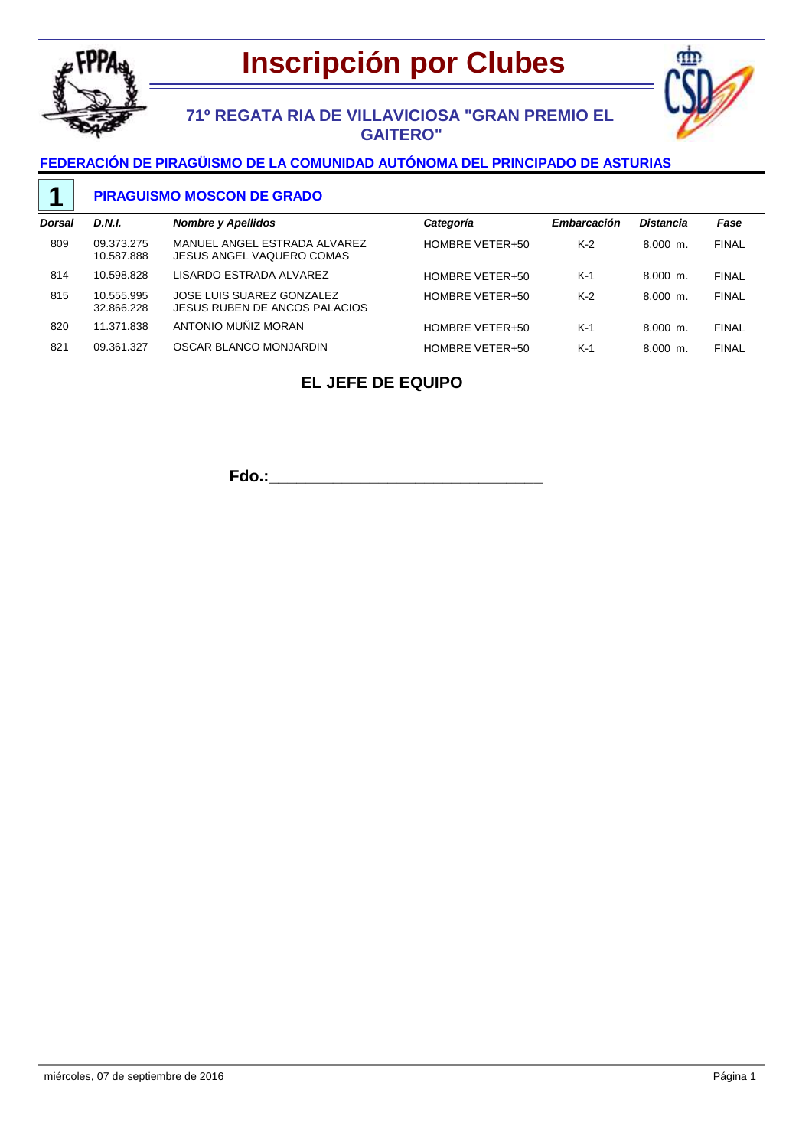



## **71º REGATA RIA DE VILLAVICIOSA "GRAN PREMIO EL GAITERO"**

### **FEDERACIÓN DE PIRAGÜISMO DE LA COMUNIDAD AUTÓNOMA DEL PRINCIPADO DE ASTURIAS**

#### **PIRAGUISMO MOSCON DE GRADO 1**

| Dorsal | <b>D.N.I.</b>            | <b>Nombre y Apellidos</b>                                  | Categoría       | Embarcación | <b>Distancia</b> | Fase         |
|--------|--------------------------|------------------------------------------------------------|-----------------|-------------|------------------|--------------|
| 809    | 09.373.275<br>10.587.888 | MANUEL ANGEL ESTRADA ALVAREZ<br>JESUS ANGEL VAQUERO COMAS  | HOMBRE VETER+50 | $K-2$       | $8.000$ m.       | <b>FINAL</b> |
| 814    | 10.598.828               | LISARDO ESTRADA ALVAREZ                                    | HOMBRE VETER+50 | $K-1$       | $8.000$ m.       | <b>FINAL</b> |
| 815    | 10.555.995<br>32.866.228 | JOSE LUIS SUAREZ GONZALEZ<br>JESUS RUBEN DE ANCOS PALACIOS | HOMBRE VETER+50 | $K-2$       | $8.000$ m.       | <b>FINAL</b> |
| 820    | 11.371.838               | ANTONIO MUÑIZ MORAN                                        | HOMBRE VETER+50 | $K-1$       | $8.000$ m.       | <b>FINAL</b> |
| 821    | 09.361.327               | OSCAR BLANCO MONJARDIN                                     | HOMBRE VETER+50 | $K-1$       | $8.000$ m.       | <b>FINAL</b> |
|        |                          |                                                            |                 |             |                  |              |

## **EL JEFE DE EQUIPO**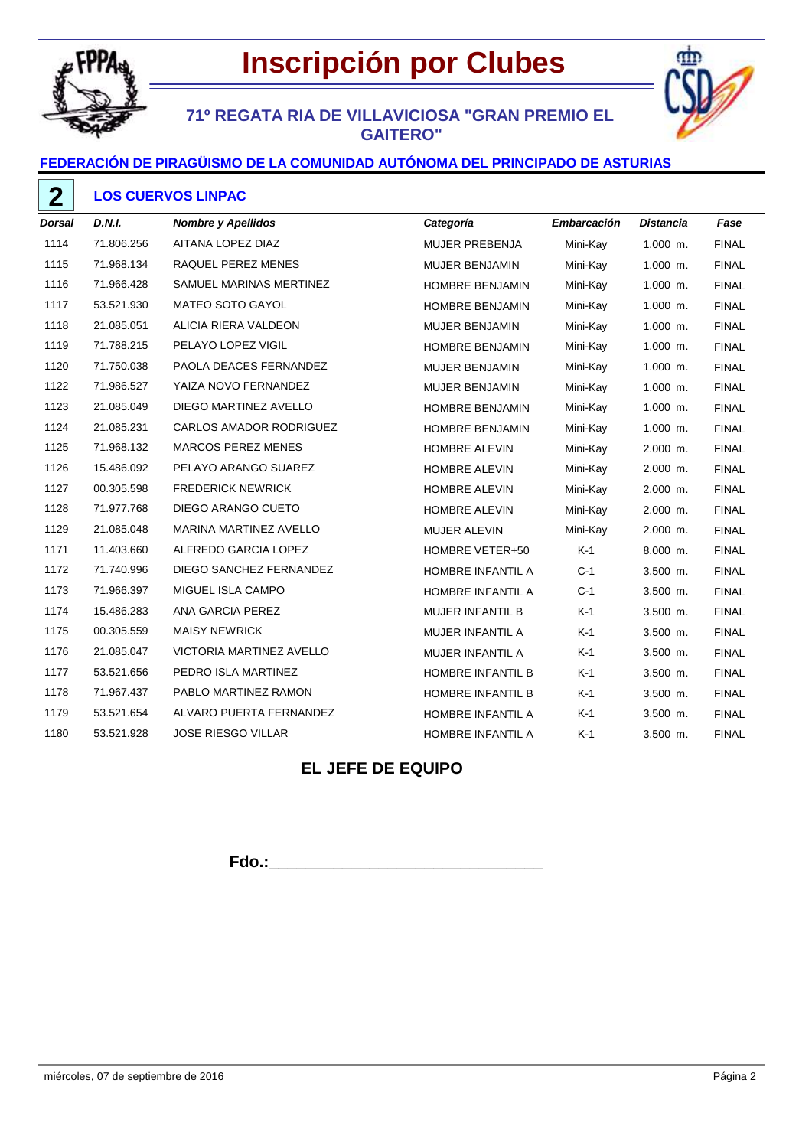

# **Inscripción por Clubes**



## **71º REGATA RIA DE VILLAVICIOSA "GRAN PREMIO EL GAITERO"**

### **FEDERACIÓN DE PIRAGÜISMO DE LA COMUNIDAD AUTÓNOMA DEL PRINCIPADO DE ASTURIAS**

| <b>Dorsal</b> | D.N.I.     | <b>Nombre y Apellidos</b>     | Categoría                | <b>Embarcación</b> | <b>Distancia</b> | Fase         |
|---------------|------------|-------------------------------|--------------------------|--------------------|------------------|--------------|
| 1114          | 71.806.256 | AITANA LOPEZ DIAZ             | <b>MUJER PREBENJA</b>    | Mini-Kay           | $1.000$ m.       | <b>FINAL</b> |
| 1115          | 71.968.134 | RAQUEL PEREZ MENES            | <b>MUJER BENJAMIN</b>    | Mini-Kay           | $1.000$ m.       | <b>FINAL</b> |
| 1116          | 71.966.428 | SAMUEL MARINAS MERTINEZ       | HOMBRE BENJAMIN          | Mini-Kay           | $1.000$ m.       | <b>FINAL</b> |
| 1117          | 53.521.930 | MATEO SOTO GAYOL              | HOMBRE BENJAMIN          | Mini-Kay           | $1.000$ m.       | <b>FINAL</b> |
| 1118          | 21.085.051 | ALICIA RIERA VALDEON          | MUJER BENJAMIN           | Mini-Kay           | $1.000$ m.       | <b>FINAL</b> |
| 1119          | 71.788.215 | PELAYO LOPEZ VIGIL            | HOMBRE BENJAMIN          | Mini-Kay           | $1.000$ m.       | <b>FINAL</b> |
| 1120          | 71.750.038 | PAOLA DEACES FERNANDEZ        | <b>MUJER BENJAMIN</b>    | Mini-Kay           | $1.000$ m.       | <b>FINAL</b> |
| 1122          | 71.986.527 | YAIZA NOVO FERNANDEZ          | <b>MUJER BENJAMIN</b>    | Mini-Kay           | $1.000$ m.       | <b>FINAL</b> |
| 1123          | 21.085.049 | DIEGO MARTINEZ AVELLO         | HOMBRE BENJAMIN          | Mini-Kay           | $1.000$ m.       | <b>FINAL</b> |
| 1124          | 21.085.231 | CARLOS AMADOR RODRIGUEZ       | HOMBRE BENJAMIN          | Mini-Kay           | $1.000$ m.       | <b>FINAL</b> |
| 1125          | 71.968.132 | <b>MARCOS PEREZ MENES</b>     | HOMBRE ALEVIN            | Mini-Kay           | 2.000 m.         | <b>FINAL</b> |
| 1126          | 15.486.092 | PELAYO ARANGO SUAREZ          | <b>HOMBRE ALEVIN</b>     | Mini-Kay           | 2.000 m.         | <b>FINAL</b> |
| 1127          | 00.305.598 | <b>FREDERICK NEWRICK</b>      | <b>HOMBRE ALEVIN</b>     | Mini-Kay           | 2.000 m.         | <b>FINAL</b> |
| 1128          | 71.977.768 | DIEGO ARANGO CUETO            | <b>HOMBRE ALEVIN</b>     | Mini-Kay           | 2.000 m.         | <b>FINAL</b> |
| 1129          | 21.085.048 | <b>MARINA MARTINEZ AVELLO</b> | MUJER ALEVIN             | Mini-Kay           | 2.000 m.         | <b>FINAL</b> |
| 1171          | 11.403.660 | ALFREDO GARCIA LOPEZ          | HOMBRE VETER+50          | $K-1$              | 8.000 m.         | <b>FINAL</b> |
| 1172          | 71.740.996 | DIEGO SANCHEZ FERNANDEZ       | HOMBRE INFANTIL A        | $C-1$              | 3.500 m.         | <b>FINAL</b> |
| 1173          | 71.966.397 | MIGUEL ISLA CAMPO             | HOMBRE INFANTIL A        | $C-1$              | 3.500 m.         | <b>FINAL</b> |
| 1174          | 15.486.283 | ANA GARCIA PEREZ              | MUJER INFANTIL B         | $K-1$              | 3.500 m.         | <b>FINAL</b> |
| 1175          | 00.305.559 | <b>MAISY NEWRICK</b>          | MUJER INFANTIL A         | $K-1$              | 3.500 m.         | <b>FINAL</b> |
| 1176          | 21.085.047 | VICTORIA MARTINEZ AVELLO      | MUJER INFANTIL A         | $K-1$              | 3.500 m.         | <b>FINAL</b> |
| 1177          | 53.521.656 | PEDRO ISLA MARTINEZ           | HOMBRE INFANTIL B        | $K-1$              | 3.500 m.         | <b>FINAL</b> |
| 1178          | 71.967.437 | PABLO MARTINEZ RAMON          | <b>HOMBRE INFANTIL B</b> | $K-1$              | 3.500 m.         | <b>FINAL</b> |
| 1179          | 53.521.654 | ALVARO PUERTA FERNANDEZ       | HOMBRE INFANTIL A        | $K-1$              | 3.500 m.         | <b>FINAL</b> |
| 1180          | 53.521.928 | <b>JOSE RIESGO VILLAR</b>     | HOMBRE INFANTIL A        | $K-1$              | 3.500 m.         | <b>FINAL</b> |

## **EL JEFE DE EQUIPO**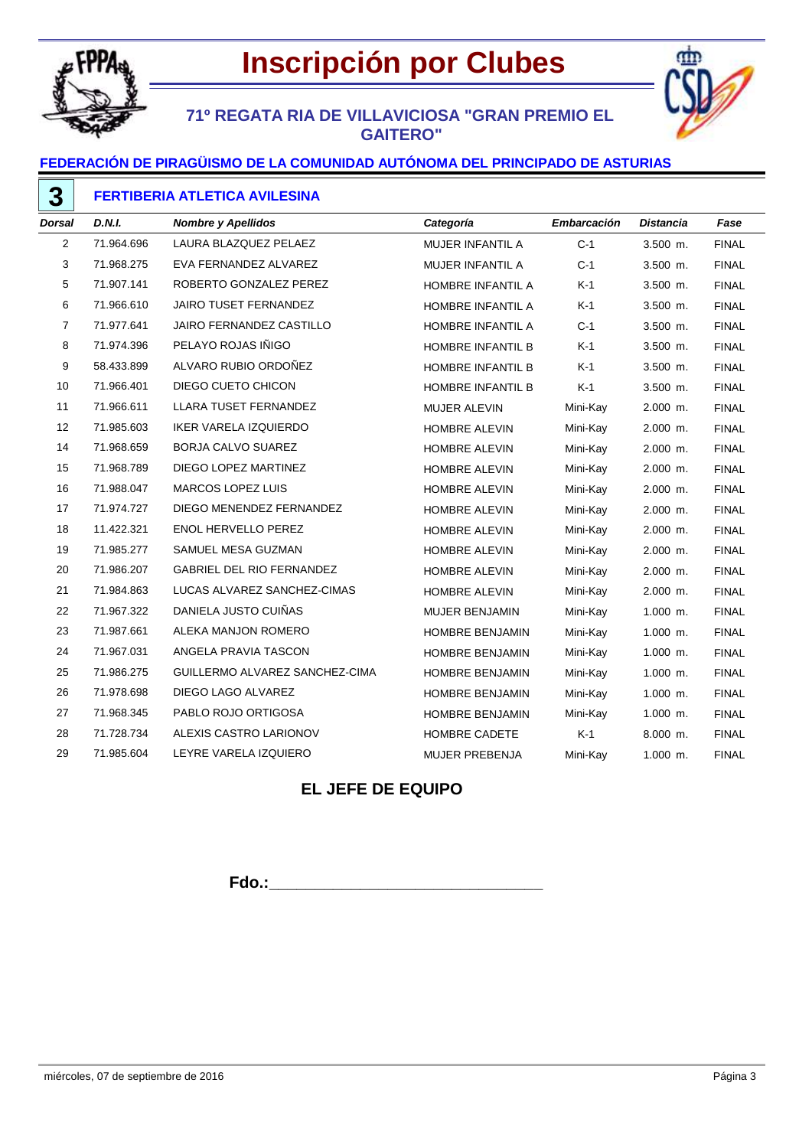



## **71º REGATA RIA DE VILLAVICIOSA "GRAN PREMIO EL GAITERO"**

### **FEDERACIÓN DE PIRAGÜISMO DE LA COMUNIDAD AUTÓNOMA DEL PRINCIPADO DE ASTURIAS**

| <b>Dorsal</b>  | D.N.I.     | <b>Nombre y Apellidos</b>        | Categoría                | <b>Embarcación</b> | Distancia  | Fase         |
|----------------|------------|----------------------------------|--------------------------|--------------------|------------|--------------|
| $\overline{2}$ | 71.964.696 | LAURA BLAZQUEZ PELAEZ            | MUJER INFANTIL A         | $C-1$              | 3.500 m.   | <b>FINAL</b> |
| 3              | 71.968.275 | EVA FERNANDEZ ALVAREZ            | MUJER INFANTIL A         | $C-1$              | 3.500 m.   | <b>FINAL</b> |
| 5              | 71.907.141 | ROBERTO GONZALEZ PEREZ           | HOMBRE INFANTIL A        | $K-1$              | $3.500$ m. | <b>FINAL</b> |
| 6              | 71.966.610 | <b>JAIRO TUSET FERNANDEZ</b>     | HOMBRE INFANTIL A        | $K-1$              | $3.500$ m. | <b>FINAL</b> |
| $\overline{7}$ | 71.977.641 | JAIRO FERNANDEZ CASTILLO         | HOMBRE INFANTIL A        | $C-1$              | $3.500$ m. | <b>FINAL</b> |
| 8              | 71.974.396 | PELAYO ROJAS IÑIGO               | HOMBRE INFANTIL B        | $K-1$              | $3.500$ m. | <b>FINAL</b> |
| 9              | 58.433.899 | ALVARO RUBIO ORDOÑEZ             | HOMBRE INFANTIL B        | $K-1$              | $3.500$ m. | <b>FINAL</b> |
| 10             | 71.966.401 | DIEGO CUETO CHICON               | <b>HOMBRE INFANTIL B</b> | $K-1$              | $3.500$ m. | <b>FINAL</b> |
| 11             | 71.966.611 | LLARA TUSET FERNANDEZ            | MUJER ALEVIN             | Mini-Kay           | 2.000 m.   | <b>FINAL</b> |
| 12             | 71.985.603 | IKER VARELA IZQUIERDO            | <b>HOMBRE ALEVIN</b>     | Mini-Kay           | 2.000 m.   | <b>FINAL</b> |
| 14             | 71.968.659 | BORJA CALVO SUAREZ               | <b>HOMBRE ALEVIN</b>     | Mini-Kay           | 2.000 m.   | <b>FINAL</b> |
| 15             | 71.968.789 | DIEGO LOPEZ MARTINEZ             | <b>HOMBRE ALEVIN</b>     | Mini-Kay           | $2.000$ m. | <b>FINAL</b> |
| 16             | 71.988.047 | <b>MARCOS LOPEZ LUIS</b>         | <b>HOMBRE ALEVIN</b>     | Mini-Kay           | $2.000$ m. | <b>FINAL</b> |
| 17             | 71.974.727 | DIEGO MENENDEZ FERNANDEZ         | <b>HOMBRE ALEVIN</b>     | Mini-Kay           | 2.000 m.   | <b>FINAL</b> |
| 18             | 11.422.321 | <b>ENOL HERVELLO PEREZ</b>       | HOMBRE ALEVIN            | Mini-Kay           | 2.000 m.   | <b>FINAL</b> |
| 19             | 71.985.277 | SAMUEL MESA GUZMAN               | <b>HOMBRE ALEVIN</b>     | Mini-Kay           | 2.000 m.   | <b>FINAL</b> |
| 20             | 71.986.207 | <b>GABRIEL DEL RIO FERNANDEZ</b> | <b>HOMBRE ALEVIN</b>     | Mini-Kay           | 2.000 m.   | <b>FINAL</b> |
| 21             | 71.984.863 | LUCAS ALVAREZ SANCHEZ-CIMAS      | HOMBRE ALEVIN            | Mini-Kay           | 2.000 m.   | <b>FINAL</b> |
| 22             | 71.967.322 | DANIELA JUSTO CUIÑAS             | MUJER BENJAMIN           | Mini-Kay           | $1.000$ m. | <b>FINAL</b> |
| 23             | 71.987.661 | ALEKA MANJON ROMERO              | HOMBRE BENJAMIN          | Mini-Kay           | $1.000$ m. | <b>FINAL</b> |
| 24             | 71.967.031 | ANGELA PRAVIA TASCON             | HOMBRE BENJAMIN          | Mini-Kay           | $1.000$ m. | <b>FINAL</b> |
| 25             | 71.986.275 | GUILLERMO ALVAREZ SANCHEZ-CIMA   | HOMBRE BENJAMIN          | Mini-Kay           | $1.000$ m. | <b>FINAL</b> |
| 26             | 71.978.698 | DIEGO LAGO ALVAREZ               | HOMBRE BENJAMIN          | Mini-Kay           | $1.000$ m. | <b>FINAL</b> |
| 27             | 71.968.345 | PABLO ROJO ORTIGOSA              | HOMBRE BENJAMIN          | Mini-Kay           | $1.000$ m. | <b>FINAL</b> |
| 28             | 71.728.734 | ALEXIS CASTRO LARIONOV           | HOMBRE CADETE            | $K-1$              | 8.000 m.   | <b>FINAL</b> |
| 29             | 71.985.604 | LEYRE VARELA IZQUIERO            | <b>MUJER PREBENJA</b>    | Mini-Kay           | 1.000 m.   | <b>FINAL</b> |

## **EL JEFE DE EQUIPO**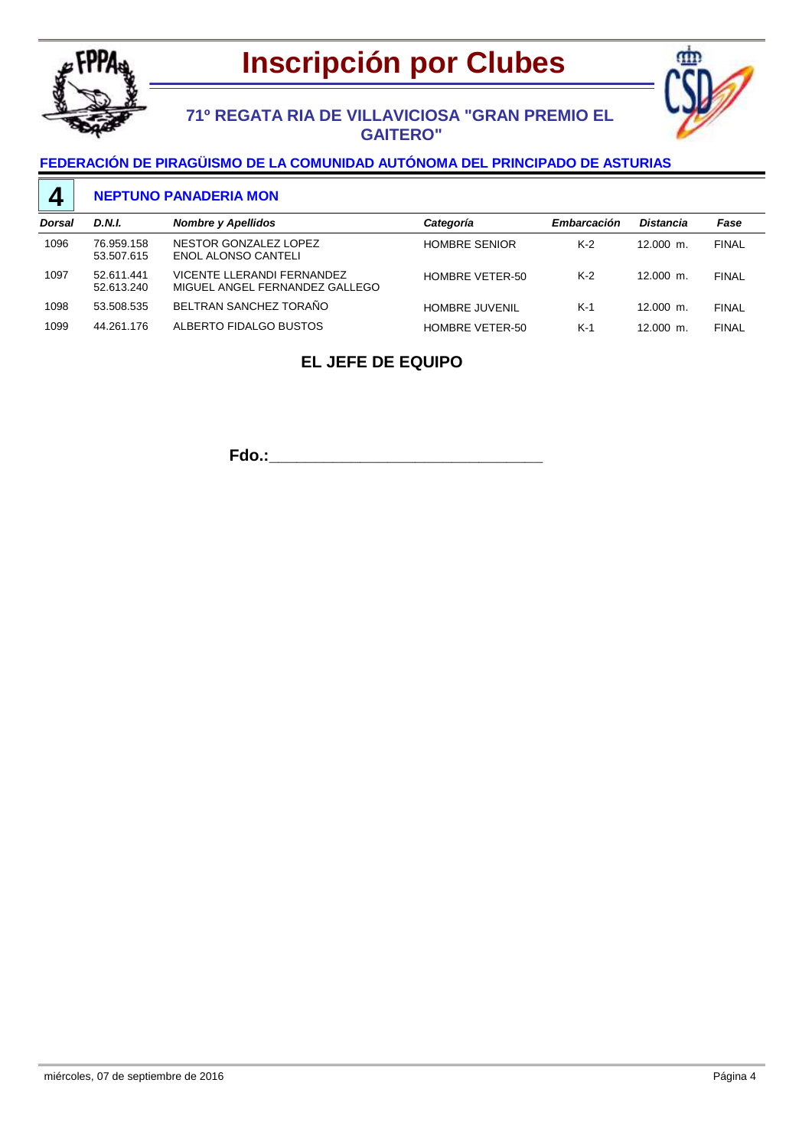



## **71º REGATA RIA DE VILLAVICIOSA "GRAN PREMIO EL GAITERO"**

### **FEDERACIÓN DE PIRAGÜISMO DE LA COMUNIDAD AUTÓNOMA DEL PRINCIPADO DE ASTURIAS**

#### **NEPTUNO PANADERIA MON 4**

| <b>Dorsal</b> | D.N.I.                   | <b>Nombre y Apellidos</b>                                    | Categoría             | Embarcación | <b>Distancia</b> | Fase         |
|---------------|--------------------------|--------------------------------------------------------------|-----------------------|-------------|------------------|--------------|
| 1096          | 76.959.158<br>53.507.615 | NESTOR GONZALEZ LOPEZ<br>ENOL ALONSO CANTELI                 | <b>HOMBRE SENIOR</b>  | $K-2$       | $12.000$ m.      | <b>FINAL</b> |
| 1097          | 52.611.441<br>52.613.240 | VICENTE LLERANDI FERNANDEZ<br>MIGUEL ANGEL FERNANDEZ GALLEGO | HOMBRE VETER-50       | $K-2$       | $12.000$ m.      | <b>FINAL</b> |
| 1098          | 53.508.535               | BELTRAN SANCHEZ TORAÑO                                       | <b>HOMBRE JUVENIL</b> | $K-1$       | $12.000$ m.      | <b>FINAL</b> |
| 1099          | 44.261.176               | ALBERTO FIDALGO BUSTOS                                       | HOMBRE VETER-50       | $K-1$       | $12.000$ m.      | <b>FINAL</b> |

## **EL JEFE DE EQUIPO**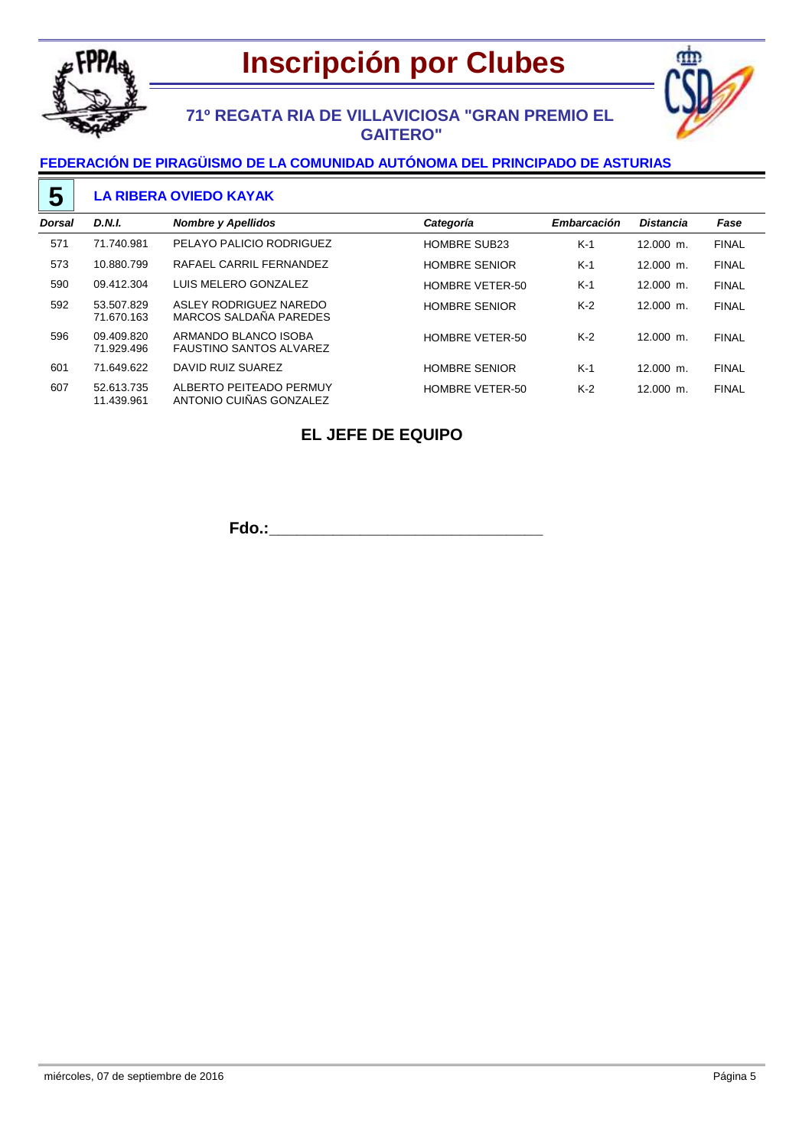

# **Inscripción por Clubes**



## **71º REGATA RIA DE VILLAVICIOSA "GRAN PREMIO EL GAITERO"**

## **FEDERACIÓN DE PIRAGÜISMO DE LA COMUNIDAD AUTÓNOMA DEL PRINCIPADO DE ASTURIAS**

### **LA RIBERA OVIEDO KAYAK**

| <b>Dorsal</b> | D.N.I.                   | <b>Nombre y Apellidos</b>                              | Categoría              | Embarcación | <b>Distancia</b> | Fase         |
|---------------|--------------------------|--------------------------------------------------------|------------------------|-------------|------------------|--------------|
| 571           | 71.740.981               | PELAYO PALICIO RODRIGUEZ                               | <b>HOMBRE SUB23</b>    | $K-1$       | $12.000$ m.      | <b>FINAL</b> |
| 573           | 10.880.799               | RAFAEL CARRIL FERNANDEZ                                | <b>HOMBRE SENIOR</b>   | $K-1$       | $12.000$ m.      | <b>FINAL</b> |
| 590           | 09.412.304               | LUIS MELERO GONZALEZ                                   | <b>HOMBRE VETER-50</b> | $K-1$       | $12.000$ m.      | <b>FINAL</b> |
| 592           | 53.507.829<br>71.670.163 | ASLEY RODRIGUEZ NAREDO<br>MARCOS SALDAÑA PAREDES       | <b>HOMBRE SENIOR</b>   | $K-2$       | $12.000$ m.      | <b>FINAL</b> |
| 596           | 09.409.820<br>71.929.496 | ARMANDO BLANCO ISOBA<br><b>FAUSTINO SANTOS ALVAREZ</b> | <b>HOMBRE VETER-50</b> | $K-2$       | $12.000$ m.      | <b>FINAL</b> |
| 601           | 71.649.622               | DAVID RUIZ SUAREZ                                      | <b>HOMBRE SENIOR</b>   | $K-1$       | $12.000$ m.      | <b>FINAL</b> |
| 607           | 52.613.735<br>11.439.961 | ALBERTO PEITEADO PERMUY<br>ANTONIO CUIÑAS GONZALEZ     | <b>HOMBRE VETER-50</b> | $K-2$       | $12.000$ m.      | <b>FINAL</b> |

## **EL JEFE DE EQUIPO**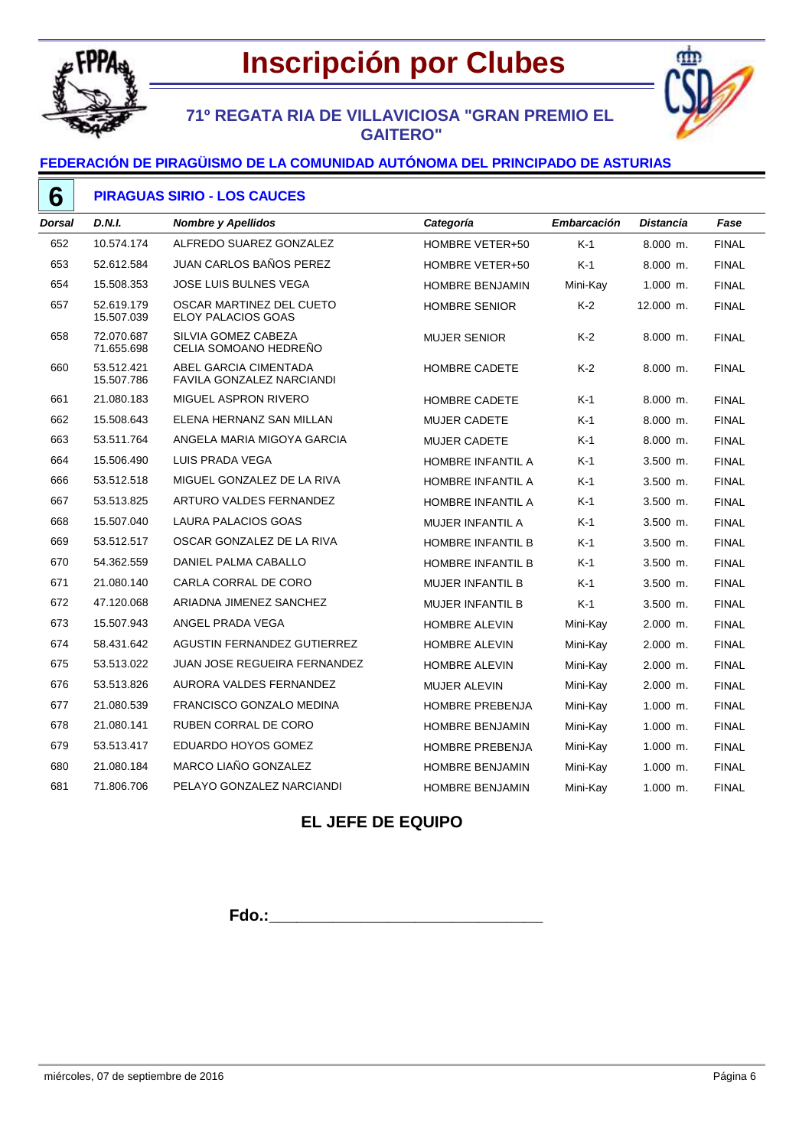



## **71º REGATA RIA DE VILLAVICIOSA "GRAN PREMIO EL GAITERO"**

### **FEDERACIÓN DE PIRAGÜISMO DE LA COMUNIDAD AUTÓNOMA DEL PRINCIPADO DE ASTURIAS**

| 6      | <b>PIRAGUAS SIRIO - LOS CAUCES</b> |                                                    |                          |                    |                  |              |  |  |
|--------|------------------------------------|----------------------------------------------------|--------------------------|--------------------|------------------|--------------|--|--|
| Dorsal | <b>D.N.I.</b>                      | <b>Nombre y Apellidos</b>                          | Categoría                | <b>Embarcación</b> | <b>Distancia</b> | Fase         |  |  |
| 652    | 10.574.174                         | ALFREDO SUAREZ GONZALEZ                            | HOMBRE VETER+50          | $K-1$              | $8.000$ m.       | <b>FINAL</b> |  |  |
| 653    | 52.612.584                         | JUAN CARLOS BAÑOS PEREZ                            | HOMBRE VETER+50          | K-1                | $8.000$ m.       | <b>FINAL</b> |  |  |
| 654    | 15.508.353                         | JOSE LUIS BULNES VEGA                              | <b>HOMBRE BENJAMIN</b>   | Mini-Kay           | $1.000$ m.       | <b>FINAL</b> |  |  |
| 657    | 52.619.179<br>15.507.039           | OSCAR MARTINEZ DEL CUETO<br>ELOY PALACIOS GOAS     | <b>HOMBRE SENIOR</b>     | $K-2$              | 12.000 m.        | <b>FINAL</b> |  |  |
| 658    | 72.070.687<br>71.655.698           | SILVIA GOMEZ CABEZA<br>CELIA SOMOANO HEDREÑO       | <b>MUJER SENIOR</b>      | $K-2$              | $8.000$ m.       | <b>FINAL</b> |  |  |
| 660    | 53.512.421<br>15.507.786           | ABEL GARCIA CIMENTADA<br>FAVILA GONZALEZ NARCIANDI | HOMBRE CADETE            | $K-2$              | $8.000$ m.       | <b>FINAL</b> |  |  |
| 661    | 21.080.183                         | MIGUEL ASPRON RIVERO                               | HOMBRE CADETE            | K-1                | $8.000$ m.       | <b>FINAL</b> |  |  |
| 662    | 15.508.643                         | ELENA HERNANZ SAN MILLAN                           | <b>MUJER CADETE</b>      | $K-1$              | 8.000 m.         | <b>FINAL</b> |  |  |
| 663    | 53.511.764                         | ANGELA MARIA MIGOYA GARCIA                         | <b>MUJER CADETE</b>      | $K-1$              | $8.000$ m.       | <b>FINAL</b> |  |  |
| 664    | 15.506.490                         | LUIS PRADA VEGA                                    | HOMBRE INFANTIL A        | K-1                | $3.500$ m.       | <b>FINAL</b> |  |  |
| 666    | 53.512.518                         | MIGUEL GONZALEZ DE LA RIVA                         | HOMBRE INFANTIL A        | K-1                | $3.500$ m.       | <b>FINAL</b> |  |  |
| 667    | 53.513.825                         | ARTURO VALDES FERNANDEZ                            | <b>HOMBRE INFANTIL A</b> | K-1                | $3.500$ m.       | <b>FINAL</b> |  |  |
| 668    | 15.507.040                         | <b>LAURA PALACIOS GOAS</b>                         | <b>MUJER INFANTIL A</b>  | K-1                | $3.500$ m.       | <b>FINAL</b> |  |  |
| 669    | 53.512.517                         | OSCAR GONZALEZ DE LA RIVA                          | HOMBRE INFANTIL B        | K-1                | $3.500$ m.       | <b>FINAL</b> |  |  |
| 670    | 54.362.559                         | DANIEL PALMA CABALLO                               | <b>HOMBRE INFANTIL B</b> | $K-1$              | $3.500$ m.       | <b>FINAL</b> |  |  |
| 671    | 21.080.140                         | CARLA CORRAL DE CORO                               | <b>MUJER INFANTIL B</b>  | K-1                | $3.500$ m.       | <b>FINAL</b> |  |  |
| 672    | 47.120.068                         | ARIADNA JIMENEZ SANCHEZ                            | <b>MUJER INFANTIL B</b>  | $K-1$              | $3.500$ m.       | <b>FINAL</b> |  |  |
| 673    | 15.507.943                         | ANGEL PRADA VEGA                                   | HOMBRE ALEVIN            | Mini-Kay           | $2.000$ m.       | <b>FINAL</b> |  |  |
| 674    | 58.431.642                         | AGUSTIN FERNANDEZ GUTIERREZ                        | <b>HOMBRE ALEVIN</b>     | Mini-Kay           | $2.000$ m.       | <b>FINAL</b> |  |  |
| 675    | 53.513.022                         | <b>JUAN JOSE REGUEIRA FERNANDEZ</b>                | <b>HOMBRE ALEVIN</b>     | Mini-Kay           | $2.000$ m.       | <b>FINAL</b> |  |  |
| 676    | 53.513.826                         | AURORA VALDES FERNANDEZ                            | <b>MUJER ALEVIN</b>      | Mini-Kay           | $2.000$ m.       | <b>FINAL</b> |  |  |
| 677    | 21.080.539                         | FRANCISCO GONZALO MEDINA                           | HOMBRE PREBENJA          | Mini-Kay           | $1.000$ m.       | <b>FINAL</b> |  |  |
| 678    | 21.080.141                         | RUBEN CORRAL DE CORO                               | <b>HOMBRE BENJAMIN</b>   | Mini-Kay           | $1.000$ m.       | <b>FINAL</b> |  |  |
| 679    | 53.513.417                         | EDUARDO HOYOS GOMEZ                                | <b>HOMBRE PREBENJA</b>   | Mini-Kay           | $1.000$ m.       | <b>FINAL</b> |  |  |
| 680    | 21.080.184                         | MARCO LIAÑO GONZALEZ                               | <b>HOMBRE BENJAMIN</b>   | Mini-Kay           | $1.000$ m.       | <b>FINAL</b> |  |  |
| 681    | 71.806.706                         | PELAYO GONZALEZ NARCIANDI                          | <b>HOMBRE BENJAMIN</b>   | Mini-Kay           | $1.000$ m.       | <b>FINAL</b> |  |  |

## **EL JEFE DE EQUIPO**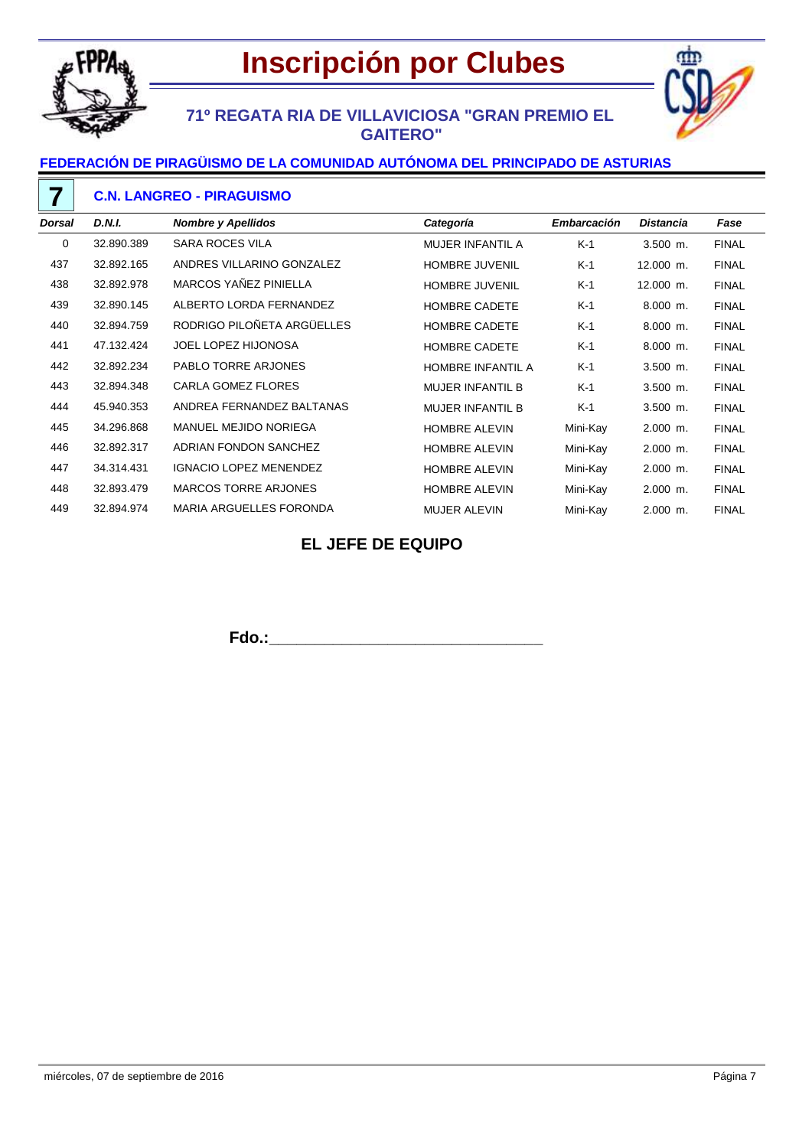



## **71º REGATA RIA DE VILLAVICIOSA "GRAN PREMIO EL GAITERO"**

### **FEDERACIÓN DE PIRAGÜISMO DE LA COMUNIDAD AUTÓNOMA DEL PRINCIPADO DE ASTURIAS**

|          | <b>C.N. LANGREO - PIRAGUISMO</b> |                                |                         |             |                  |              |  |  |
|----------|----------------------------------|--------------------------------|-------------------------|-------------|------------------|--------------|--|--|
| Dorsal   | <b>D.N.I.</b>                    | <b>Nombre y Apellidos</b>      | Categoría               | Embarcación | <b>Distancia</b> | Fase         |  |  |
| $\Omega$ | 32.890.389                       | <b>SARA ROCES VILA</b>         | <b>MUJER INFANTIL A</b> | K-1         | $3.500$ m.       | <b>FINAL</b> |  |  |
| 437      | 32.892.165                       | ANDRES VILLARINO GONZALEZ      | <b>HOMBRE JUVENIL</b>   | K-1         | 12.000 m.        | <b>FINAL</b> |  |  |
| 438      | 32.892.978                       | MARCOS YAÑEZ PINIELLA          | <b>HOMBRE JUVENIL</b>   | $K-1$       | 12.000 m.        | <b>FINAL</b> |  |  |
| 439      | 32.890.145                       | ALBERTO LORDA FERNANDEZ        | <b>HOMBRE CADETE</b>    | $K-1$       | $8.000$ m.       | <b>FINAL</b> |  |  |
| 440      | 32.894.759                       | RODRIGO PILOÑETA ARGÜELLES     | <b>HOMBRE CADETE</b>    | K-1         | $8.000$ m.       | <b>FINAL</b> |  |  |
| 441      | 47.132.424                       | <b>JOEL LOPEZ HIJONOSA</b>     | <b>HOMBRE CADETE</b>    | $K-1$       | $8.000$ m.       | <b>FINAL</b> |  |  |
| 442      | 32.892.234                       | <b>PABLO TORRE ARJONES</b>     | HOMBRE INFANTIL A       | $K-1$       | $3.500$ m.       | <b>FINAL</b> |  |  |
| 443      | 32.894.348                       | <b>CARLA GOMEZ FLORES</b>      | <b>MUJER INFANTIL B</b> | K-1         | $3.500$ m.       | <b>FINAL</b> |  |  |
| 444      | 45.940.353                       | ANDREA FERNANDEZ BALTANAS      | <b>MUJER INFANTIL B</b> | K-1         | $3.500$ m.       | <b>FINAL</b> |  |  |
| 445      | 34.296.868                       | <b>MANUEL MEJIDO NORIEGA</b>   | <b>HOMBRE ALEVIN</b>    | Mini-Kay    | $2.000$ m.       | <b>FINAL</b> |  |  |
| 446      | 32.892.317                       | ADRIAN FONDON SANCHEZ          | <b>HOMBRE ALEVIN</b>    | Mini-Kay    | $2.000$ m.       | <b>FINAL</b> |  |  |
| 447      | 34.314.431                       | <b>IGNACIO LOPEZ MENENDEZ</b>  | <b>HOMBRE ALEVIN</b>    | Mini-Kay    | $2.000$ m.       | <b>FINAL</b> |  |  |
| 448      | 32.893.479                       | <b>MARCOS TORRE ARJONES</b>    | <b>HOMBRE ALEVIN</b>    | Mini-Kay    | $2.000$ m.       | <b>FINAL</b> |  |  |
| 449      | 32.894.974                       | <b>MARIA ARGUELLES FORONDA</b> | <b>MUJER ALEVIN</b>     | Mini-Kay    | $2.000$ m.       | <b>FINAL</b> |  |  |

## **EL JEFE DE EQUIPO**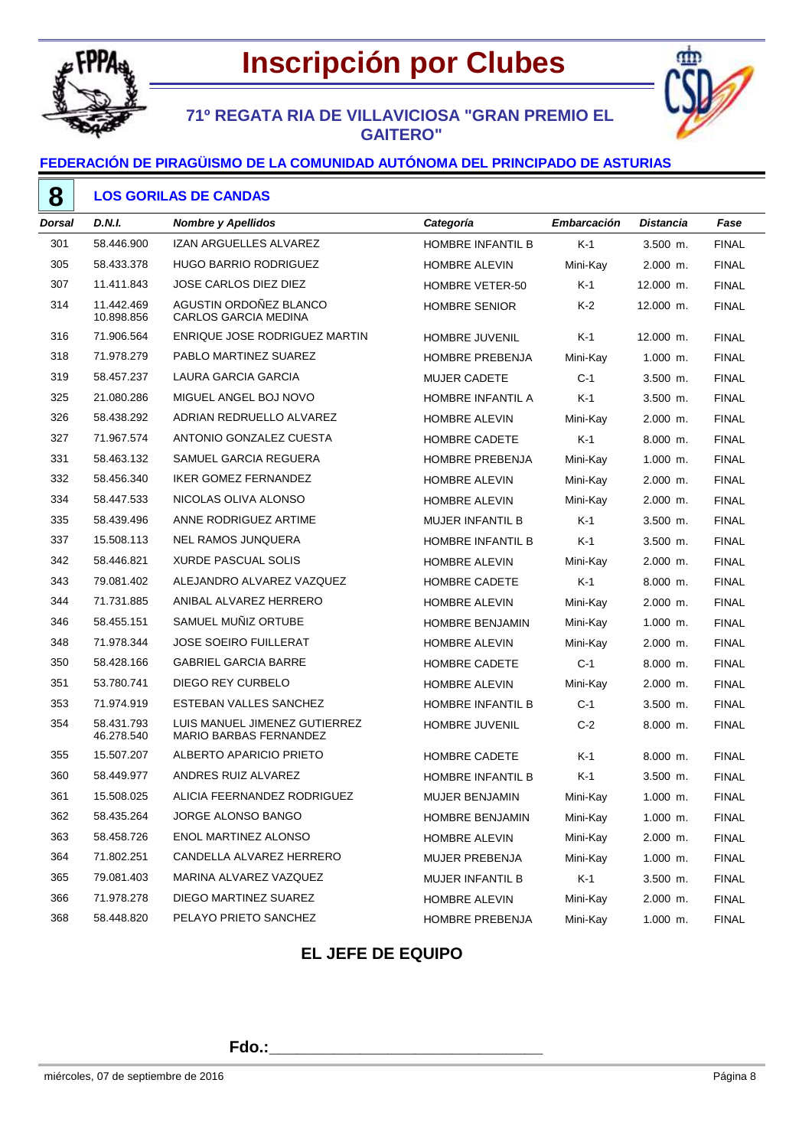



## **71º REGATA RIA DE VILLAVICIOSA "GRAN PREMIO EL GAITERO"**

### **FEDERACIÓN DE PIRAGÜISMO DE LA COMUNIDAD AUTÓNOMA DEL PRINCIPADO DE ASTURIAS**

**LOS GORILAS DE CANDAS** 

| Dorsal | D.N.I.                   | <b>Nombre y Apellidos</b>                               | Categoría               | Embarcación | <b>Distancia</b> | Fase         |
|--------|--------------------------|---------------------------------------------------------|-------------------------|-------------|------------------|--------------|
| 301    | 58.446.900               | IZAN ARGUELLES ALVAREZ                                  | HOMBRE INFANTIL B       | $K-1$       | $3.500$ m.       | <b>FINAL</b> |
| 305    | 58.433.378               | <b>HUGO BARRIO RODRIGUEZ</b>                            | <b>HOMBRE ALEVIN</b>    | Mini-Kay    | 2.000 m.         | <b>FINAL</b> |
| 307    | 11.411.843               | <b>JOSE CARLOS DIEZ DIEZ</b>                            | HOMBRE VETER-50         | $K-1$       | 12.000 m.        | <b>FINAL</b> |
| 314    | 11.442.469<br>10.898.856 | AGUSTIN ORDOÑEZ BLANCO<br><b>CARLOS GARCIA MEDINA</b>   | <b>HOMBRE SENIOR</b>    | K-2         | 12.000 m.        | <b>FINAL</b> |
| 316    | 71.906.564               | ENRIQUE JOSE RODRIGUEZ MARTIN                           | HOMBRE JUVENIL          | $K-1$       | 12.000 m.        | <b>FINAL</b> |
| 318    | 71.978.279               | PABLO MARTINEZ SUAREZ                                   | HOMBRE PREBENJA         | Mini-Kay    | $1.000$ m.       | <b>FINAL</b> |
| 319    | 58.457.237               | LAURA GARCIA GARCIA                                     | <b>MUJER CADETE</b>     | $C-1$       | 3.500 m.         | <b>FINAL</b> |
| 325    | 21.080.286               | MIGUEL ANGEL BOJ NOVO                                   | HOMBRE INFANTIL A       | K-1         | $3.500$ m.       | <b>FINAL</b> |
| 326    | 58.438.292               | ADRIAN REDRUELLO ALVAREZ                                | <b>HOMBRE ALEVIN</b>    | Mini-Kay    | $2.000$ m.       | <b>FINAL</b> |
| 327    | 71.967.574               | ANTONIO GONZALEZ CUESTA                                 | <b>HOMBRE CADETE</b>    | K-1         | 8.000 m.         | <b>FINAL</b> |
| 331    | 58.463.132               | SAMUEL GARCIA REGUERA                                   | HOMBRE PREBENJA         | Mini-Kay    | $1.000$ m.       | <b>FINAL</b> |
| 332    | 58.456.340               | <b>IKER GOMEZ FERNANDEZ</b>                             | <b>HOMBRE ALEVIN</b>    | Mini-Kay    | 2.000 m.         | <b>FINAL</b> |
| 334    | 58.447.533               | NICOLAS OLIVA ALONSO                                    | <b>HOMBRE ALEVIN</b>    | Mini-Kay    | $2.000$ m.       | <b>FINAL</b> |
| 335    | 58.439.496               | ANNE RODRIGUEZ ARTIME                                   | <b>MUJER INFANTIL B</b> | K-1         | $3.500$ m.       | <b>FINAL</b> |
| 337    | 15.508.113               | <b>NEL RAMOS JUNQUERA</b>                               | HOMBRE INFANTIL B       | $K-1$       | $3.500$ m.       | <b>FINAL</b> |
| 342    | 58.446.821               | <b>XURDE PASCUAL SOLIS</b>                              | <b>HOMBRE ALEVIN</b>    | Mini-Kay    | 2.000 m.         | <b>FINAL</b> |
| 343    | 79.081.402               | ALEJANDRO ALVAREZ VAZQUEZ                               | HOMBRE CADETE           | K-1         | 8.000 m.         | <b>FINAL</b> |
| 344    | 71.731.885               | ANIBAL ALVAREZ HERRERO                                  | <b>HOMBRE ALEVIN</b>    | Mini-Kay    | 2.000 m.         | <b>FINAL</b> |
| 346    | 58.455.151               | SAMUEL MUÑIZ ORTUBE                                     | <b>HOMBRE BENJAMIN</b>  | Mini-Kay    | $1.000$ m.       | <b>FINAL</b> |
| 348    | 71.978.344               | <b>JOSE SOEIRO FUILLERAT</b>                            | <b>HOMBRE ALEVIN</b>    | Mini-Kay    | 2.000 m.         | <b>FINAL</b> |
| 350    | 58.428.166               | <b>GABRIEL GARCIA BARRE</b>                             | <b>HOMBRE CADETE</b>    | $C-1$       | 8.000 m.         | <b>FINAL</b> |
| 351    | 53.780.741               | DIEGO REY CURBELO                                       | <b>HOMBRE ALEVIN</b>    | Mini-Kay    | 2.000 m.         | <b>FINAL</b> |
| 353    | 71.974.919               | ESTEBAN VALLES SANCHEZ                                  | HOMBRE INFANTIL B       | $C-1$       | $3.500$ m.       | <b>FINAL</b> |
| 354    | 58.431.793<br>46.278.540 | LUIS MANUEL JIMENEZ GUTIERREZ<br>MARIO BARBAS FERNANDEZ | HOMBRE JUVENIL          | $C-2$       | 8.000 m.         | <b>FINAL</b> |
| 355    | 15.507.207               | ALBERTO APARICIO PRIETO                                 | <b>HOMBRE CADETE</b>    | $K-1$       | 8.000 m.         | <b>FINAL</b> |
| 360    | 58.449.977               | ANDRES RUIZ ALVAREZ                                     | HOMBRE INFANTIL B       | K-1         | $3.500$ m.       | <b>FINAL</b> |
| 361    | 15.508.025               | ALICIA FEERNANDEZ RODRIGUEZ                             | <b>MUJER BENJAMIN</b>   | Mini-Kay    | 1.000 m.         | <b>FINAL</b> |
| 362    | 58.435.264               | JORGE ALONSO BANGO                                      | <b>HOMBRE BENJAMIN</b>  | Mini-Kay    | $1.000$ m.       | <b>FINAL</b> |
| 363    | 58.458.726               | ENOL MARTINEZ ALONSO                                    | HOMBRE ALEVIN           | Mini-Kay    | 2.000 m.         | <b>FINAL</b> |
| 364    | 71.802.251               | CANDELLA ALVAREZ HERRERO                                | MUJER PREBENJA          | Mini-Kay    | 1.000 m.         | <b>FINAL</b> |
| 365    | 79.081.403               | MARINA ALVAREZ VAZQUEZ                                  | MUJER INFANTIL B        | $K-1$       | 3.500 m.         | <b>FINAL</b> |
| 366    | 71.978.278               | DIEGO MARTINEZ SUAREZ                                   | <b>HOMBRE ALEVIN</b>    | Mini-Kay    | $2.000$ m.       | <b>FINAL</b> |
| 368    | 58.448.820               | PELAYO PRIETO SANCHEZ                                   | HOMBRE PREBENJA         | Mini-Kay    | 1.000 m.         | <b>FINAL</b> |

## **EL JEFE DE EQUIPO**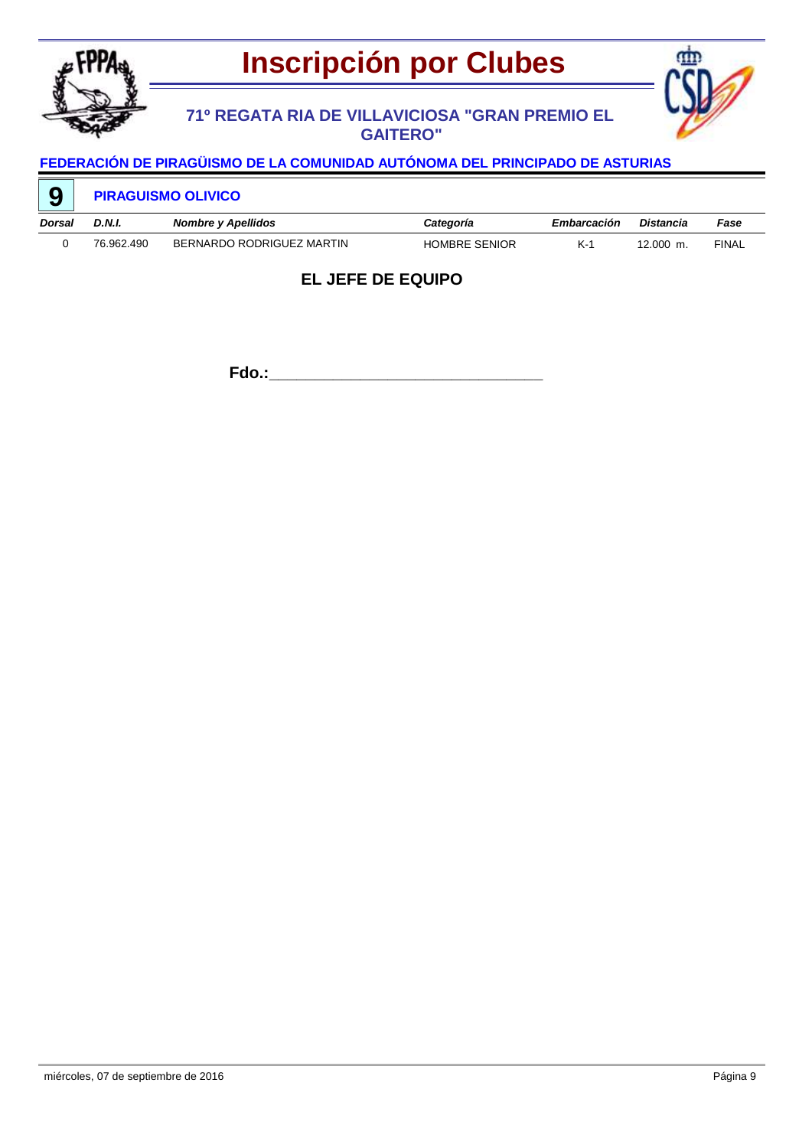

## **71º REGATA RIA DE VILLAVICIOSA "GRAN PREMIO EL GAITERO"**



# **FEDERACIÓN DE PIRAGÜISMO DE LA COMUNIDAD AUTÓNOMA DEL PRINCIPADO DE ASTURIAS**

| 9      | <b>PIRAGUISMO OLIVICO</b> |                           |                      |             |           |              |  |  |
|--------|---------------------------|---------------------------|----------------------|-------------|-----------|--------------|--|--|
| Dorsal | D.N.I.                    | Nombre y Apellidos        | Categoría            | Embarcación | Distancia | Fase         |  |  |
|        | 76.962.490                | BERNARDO RODRIGUEZ MARTIN | <b>HOMBRE SENIOR</b> | $K-1$       | 12.000 m. | <b>FINAL</b> |  |  |

## **EL JEFE DE EQUIPO**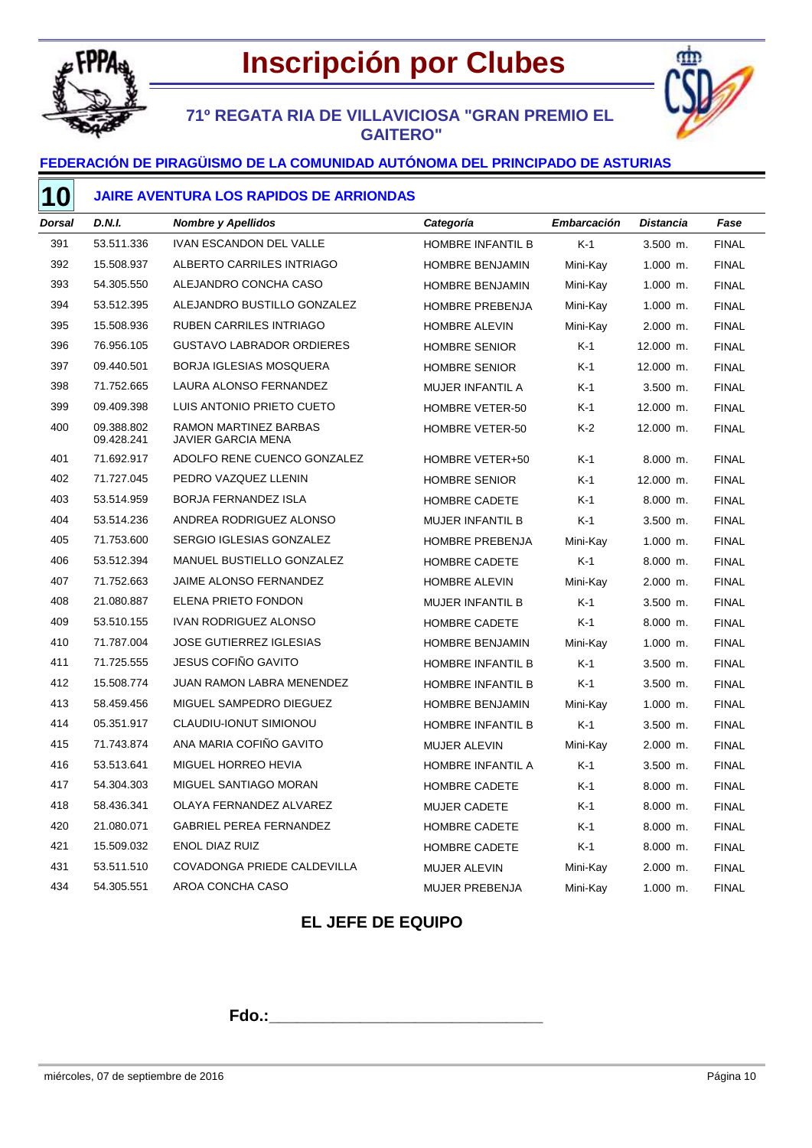

## **Inscripción por Clubes**

## **71º REGATA RIA DE VILLAVICIOSA "GRAN PREMIO EL GAITERO"**

### **FEDERACIÓN DE PIRAGÜISMO DE LA COMUNIDAD AUTÓNOMA DEL PRINCIPADO DE ASTURIAS**

### **JAIRE AVENTURA LOS RAPIDOS DE ARRIONDAS**

| <b>Dorsal</b> | <b>D.N.I.</b>            | <b>Nombre y Apellidos</b>                          | Categoría                | <b>Embarcación</b> | <b>Distancia</b> | Fase         |
|---------------|--------------------------|----------------------------------------------------|--------------------------|--------------------|------------------|--------------|
| 391           | 53.511.336               | <b>IVAN ESCANDON DEL VALLE</b>                     | <b>HOMBRE INFANTIL B</b> | $K-1$              | $3.500$ m.       | <b>FINAL</b> |
| 392           | 15.508.937               | ALBERTO CARRILES INTRIAGO                          | HOMBRE BENJAMIN          | Mini-Kay           | 1.000 m.         | <b>FINAL</b> |
| 393           | 54.305.550               | ALEJANDRO CONCHA CASO                              | <b>HOMBRE BENJAMIN</b>   | Mini-Kay           | $1.000$ m.       | <b>FINAL</b> |
| 394           | 53.512.395               | ALEJANDRO BUSTILLO GONZALEZ                        | <b>HOMBRE PREBENJA</b>   | Mini-Kay           | $1.000$ m.       | <b>FINAL</b> |
| 395           | 15.508.936               | <b>RUBEN CARRILES INTRIAGO</b>                     | <b>HOMBRE ALEVIN</b>     | Mini-Kay           | 2.000 m.         | <b>FINAL</b> |
| 396           | 76.956.105               | <b>GUSTAVO LABRADOR ORDIERES</b>                   | <b>HOMBRE SENIOR</b>     | $K-1$              | 12.000 m.        | <b>FINAL</b> |
| 397           | 09.440.501               | <b>BORJA IGLESIAS MOSQUERA</b>                     | <b>HOMBRE SENIOR</b>     | $K-1$              | 12.000 m.        | <b>FINAL</b> |
| 398           | 71.752.665               | LAURA ALONSO FERNANDEZ                             | MUJER INFANTIL A         | $K-1$              | $3.500$ m.       | <b>FINAL</b> |
| 399           | 09.409.398               | LUIS ANTONIO PRIETO CUETO                          | HOMBRE VETER-50          | $K-1$              | 12.000 m.        | <b>FINAL</b> |
| 400           | 09.388.802<br>09.428.241 | RAMON MARTINEZ BARBAS<br><b>JAVIER GARCIA MENA</b> | HOMBRE VETER-50          | K-2                | 12.000 m.        | <b>FINAL</b> |
| 401           | 71.692.917               | ADOLFO RENE CUENCO GONZALEZ                        | HOMBRE VETER+50          | $K-1$              | $8.000$ m.       | <b>FINAL</b> |
| 402           | 71.727.045               | PEDRO VAZQUEZ LLENIN                               | <b>HOMBRE SENIOR</b>     | $K-1$              | 12.000 m.        | <b>FINAL</b> |
| 403           | 53.514.959               | <b>BORJA FERNANDEZ ISLA</b>                        | <b>HOMBRE CADETE</b>     | $K-1$              | 8.000 m.         | <b>FINAL</b> |
| 404           | 53.514.236               | ANDREA RODRIGUEZ ALONSO                            | <b>MUJER INFANTIL B</b>  | $K-1$              | $3.500$ m.       | <b>FINAL</b> |
| 405           | 71.753.600               | SERGIO IGLESIAS GONZALEZ                           | HOMBRE PREBENJA          | Mini-Kay           | $1.000$ m.       | <b>FINAL</b> |
| 406           | 53.512.394               | MANUEL BUSTIELLO GONZALEZ                          | <b>HOMBRE CADETE</b>     | $K-1$              | 8.000 m.         | <b>FINAL</b> |
| 407           | 71.752.663               | JAIME ALONSO FERNANDEZ                             | <b>HOMBRE ALEVIN</b>     | Mini-Kay           | 2.000 m.         | <b>FINAL</b> |
| 408           | 21.080.887               | ELENA PRIETO FONDON                                | MUJER INFANTIL B         | $K-1$              | $3.500$ m.       | <b>FINAL</b> |
| 409           | 53.510.155               | IVAN RODRIGUEZ ALONSO                              | <b>HOMBRE CADETE</b>     | $K-1$              | 8.000 m.         | <b>FINAL</b> |
| 410           | 71.787.004               | <b>JOSE GUTIERREZ IGLESIAS</b>                     | <b>HOMBRE BENJAMIN</b>   | Mini-Kay           | $1.000$ m.       | <b>FINAL</b> |
| 411           | 71.725.555               | JESUS COFIÑO GAVITO                                | HOMBRE INFANTIL B        | $K-1$              | 3.500 m.         | <b>FINAL</b> |
| 412           | 15.508.774               | JUAN RAMON LABRA MENENDEZ                          | <b>HOMBRE INFANTIL B</b> | $K-1$              | $3.500$ m.       | <b>FINAL</b> |
| 413           | 58.459.456               | MIGUEL SAMPEDRO DIEGUEZ                            | HOMBRE BENJAMIN          | Mini-Kay           | $1.000$ m.       | <b>FINAL</b> |
| 414           | 05.351.917               | CLAUDIU-IONUT SIMIONOU                             | HOMBRE INFANTIL B        | $K-1$              | 3.500 m.         | <b>FINAL</b> |
| 415           | 71.743.874               | ANA MARIA COFIÑO GAVITO                            | <b>MUJER ALEVIN</b>      | Mini-Kay           | 2.000 m.         | <b>FINAL</b> |
| 416           | 53.513.641               | MIGUEL HORREO HEVIA                                | HOMBRE INFANTIL A        | $K-1$              | 3.500 m.         | <b>FINAL</b> |
| 417           | 54.304.303               | MIGUEL SANTIAGO MORAN                              | <b>HOMBRE CADETE</b>     | $K-1$              | 8.000 m.         | <b>FINAL</b> |
| 418           | 58.436.341               | OLAYA FERNANDEZ ALVAREZ                            | MUJER CADETE             | $K-1$              | 8.000 m.         | <b>FINAL</b> |
| 420           | 21.080.071               | <b>GABRIEL PEREA FERNANDEZ</b>                     | <b>HOMBRE CADETE</b>     | $K-1$              | 8.000 m.         | <b>FINAL</b> |
| 421           | 15.509.032               | <b>ENOL DIAZ RUIZ</b>                              | <b>HOMBRE CADETE</b>     | $K-1$              | 8.000 m.         | <b>FINAL</b> |
| 431           | 53.511.510               | COVADONGA PRIEDE CALDEVILLA                        | <b>MUJER ALEVIN</b>      | Mini-Kay           | 2.000 m.         | <b>FINAL</b> |
| 434           | 54.305.551               | AROA CONCHA CASO                                   | <b>MUJER PREBENJA</b>    | Mini-Kay           | $1.000$ m.       | <b>FINAL</b> |

## **EL JEFE DE EQUIPO**

**Fdo.:\_\_\_\_\_\_\_\_\_\_\_\_\_\_\_\_\_\_\_\_\_\_\_\_\_\_\_\_\_\_**

M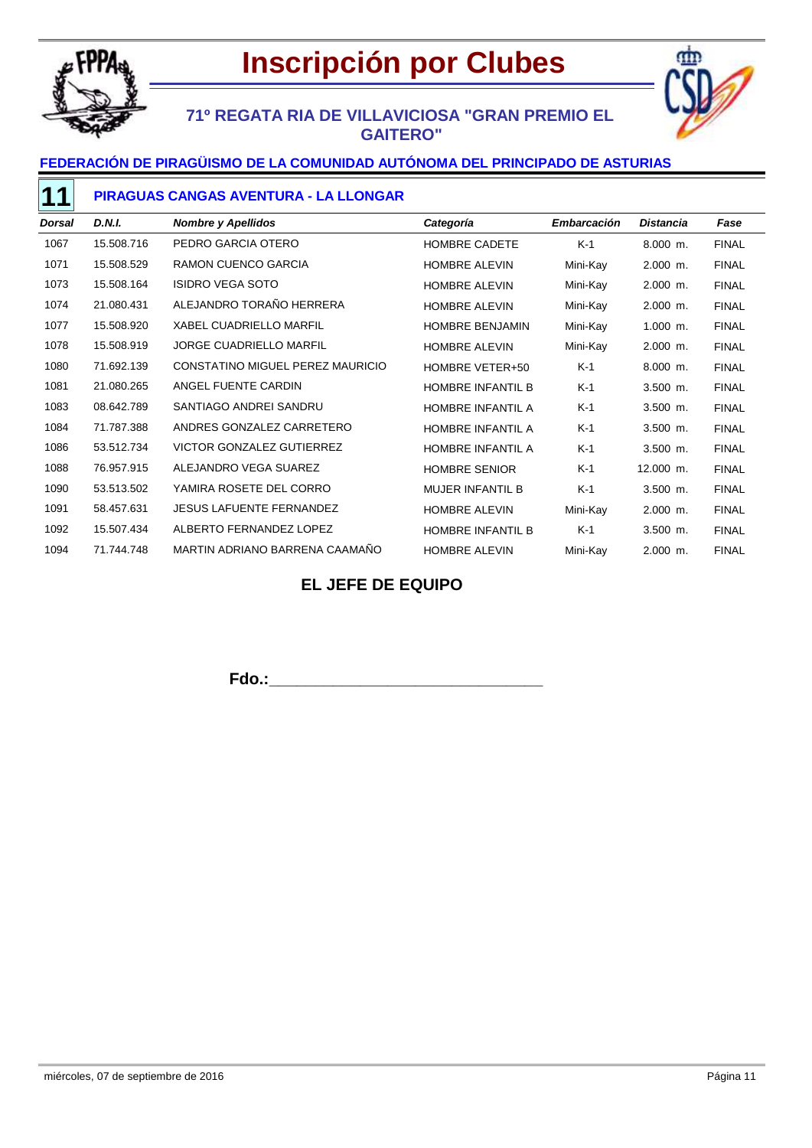



## **71º REGATA RIA DE VILLAVICIOSA "GRAN PREMIO EL GAITERO"**

### **FEDERACIÓN DE PIRAGÜISMO DE LA COMUNIDAD AUTÓNOMA DEL PRINCIPADO DE ASTURIAS**

#### **PIRAGUAS CANGAS AVENTURA - LA LLONGAR**

| <b>Dorsal</b> | D.N.I.     | <b>Nombre y Apellidos</b>        | Categoría                | <b>Embarcación</b> | <b>Distancia</b> | Fase         |
|---------------|------------|----------------------------------|--------------------------|--------------------|------------------|--------------|
| 1067          | 15.508.716 | PEDRO GARCIA OTERO               | <b>HOMBRE CADETE</b>     | $K-1$              | $8.000$ m.       | <b>FINAL</b> |
| 1071          | 15.508.529 | RAMON CUENCO GARCIA              | <b>HOMBRE ALEVIN</b>     | Mini-Kay           | $2.000$ m.       | <b>FINAL</b> |
| 1073          | 15.508.164 | <b>ISIDRO VEGA SOTO</b>          | HOMBRE ALEVIN            | Mini-Kay           | $2.000$ m.       | <b>FINAL</b> |
| 1074          | 21.080.431 | ALEJANDRO TORAÑO HERRERA         | <b>HOMBRE ALEVIN</b>     | Mini-Kay           | $2.000$ m.       | <b>FINAL</b> |
| 1077          | 15.508.920 | <b>XABEL CUADRIELLO MARFIL</b>   | <b>HOMBRE BENJAMIN</b>   | Mini-Kay           | $1.000$ m.       | <b>FINAL</b> |
| 1078          | 15.508.919 | JORGE CUADRIELLO MARFIL          | <b>HOMBRE ALEVIN</b>     | Mini-Kay           | $2.000$ m.       | <b>FINAL</b> |
| 1080          | 71.692.139 | CONSTATINO MIGUEL PEREZ MAURICIO | HOMBRE VETER+50          | $K-1$              | $8.000$ m.       | <b>FINAL</b> |
| 1081          | 21.080.265 | ANGEL FUENTE CARDIN              | <b>HOMBRE INFANTIL B</b> | $K-1$              | $3.500$ m.       | <b>FINAL</b> |
| 1083          | 08.642.789 | SANTIAGO ANDREI SANDRU           | HOMBRE INFANTIL A        | $K-1$              | $3.500$ m.       | <b>FINAL</b> |
| 1084          | 71.787.388 | ANDRES GONZALEZ CARRETERO        | HOMBRE INFANTIL A        | $K-1$              | $3.500$ m.       | <b>FINAL</b> |
| 1086          | 53.512.734 | <b>VICTOR GONZALEZ GUTIERREZ</b> | HOMBRE INFANTIL A        | $K-1$              | $3.500$ m.       | <b>FINAL</b> |
| 1088          | 76.957.915 | ALEJANDRO VEGA SUAREZ            | <b>HOMBRE SENIOR</b>     | $K-1$              | 12.000 m.        | <b>FINAL</b> |
| 1090          | 53.513.502 | YAMIRA ROSETE DEL CORRO          | <b>MUJER INFANTIL B</b>  | K-1                | $3.500$ m.       | <b>FINAL</b> |
| 1091          | 58.457.631 | <b>JESUS LAFUENTE FERNANDEZ</b>  | <b>HOMBRE ALEVIN</b>     | Mini-Kay           | 2.000 m.         | <b>FINAL</b> |
| 1092          | 15.507.434 | ALBERTO FERNANDEZ LOPEZ          | <b>HOMBRE INFANTIL B</b> | $K-1$              | $3.500$ m.       | <b>FINAL</b> |
| 1094          | 71.744.748 | MARTIN ADRIANO BARRENA CAAMAÑO   | <b>HOMBRE ALEVIN</b>     | Mini-Kay           | $2.000$ m.       | <b>FINAL</b> |

## **EL JEFE DE EQUIPO**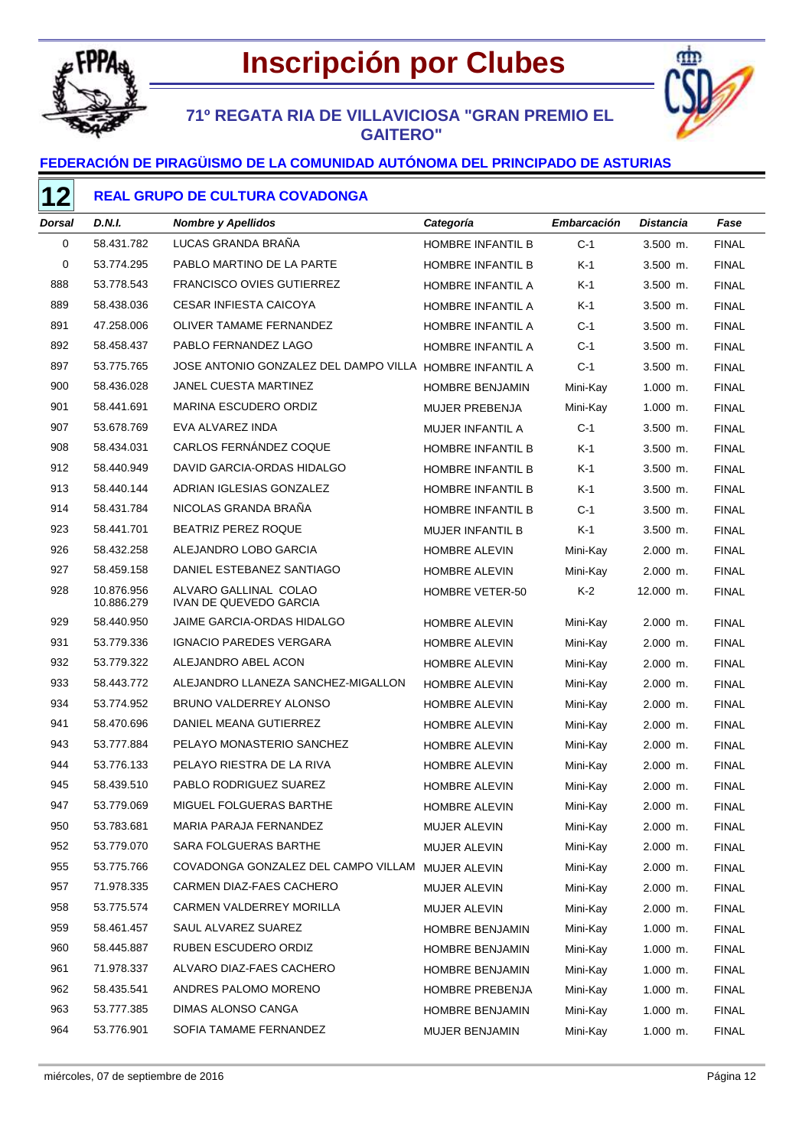



## **71º REGATA RIA DE VILLAVICIOSA "GRAN PREMIO EL GAITERO"**

### **FEDERACIÓN DE PIRAGÜISMO DE LA COMUNIDAD AUTÓNOMA DEL PRINCIPADO DE ASTURIAS**

### **REAL GRUPO DE CULTURA COVADONGA**

| Dorsal | D.N.I.                   | <b>Nombre y Apellidos</b>                               | Categoría                | Embarcación | Distancia  | Fase         |
|--------|--------------------------|---------------------------------------------------------|--------------------------|-------------|------------|--------------|
| 0      | 58.431.782               | LUCAS GRANDA BRAÑA                                      | HOMBRE INFANTIL B        | $C-1$       | $3.500$ m. | <b>FINAL</b> |
| 0      | 53.774.295               | PABLO MARTINO DE LA PARTE                               | HOMBRE INFANTIL B        | K-1         | $3.500$ m. | <b>FINAL</b> |
| 888    | 53.778.543               | <b>FRANCISCO OVIES GUTIERREZ</b>                        | HOMBRE INFANTIL A        | K-1         | $3.500$ m. | <b>FINAL</b> |
| 889    | 58.438.036               | <b>CESAR INFIESTA CAICOYA</b>                           | HOMBRE INFANTIL A        | K-1         | $3.500$ m. | <b>FINAL</b> |
| 891    | 47.258.006               | OLIVER TAMAME FERNANDEZ                                 | HOMBRE INFANTIL A        | $C-1$       | $3.500$ m. | <b>FINAL</b> |
| 892    | 58.458.437               | PABLO FERNANDEZ LAGO                                    | HOMBRE INFANTIL A        | $C-1$       | $3.500$ m. | <b>FINAL</b> |
| 897    | 53.775.765               | JOSE ANTONIO GONZALEZ DEL DAMPO VILLA HOMBRE INFANTIL A |                          | $C-1$       | $3.500$ m. | <b>FINAL</b> |
| 900    | 58.436.028               | <b>JANEL CUESTA MARTINEZ</b>                            | <b>HOMBRE BENJAMIN</b>   | Mini-Kay    | $1.000$ m. | <b>FINAL</b> |
| 901    | 58.441.691               | MARINA ESCUDERO ORDIZ                                   | MUJER PREBENJA           | Mini-Kay    | $1.000$ m. | <b>FINAL</b> |
| 907    | 53.678.769               | EVA ALVAREZ INDA                                        | MUJER INFANTIL A         | $C-1$       | 3.500 m.   | <b>FINAL</b> |
| 908    | 58.434.031               | CARLOS FERNÁNDEZ COQUE                                  | HOMBRE INFANTIL B        | K-1         | $3.500$ m. | <b>FINAL</b> |
| 912    | 58.440.949               | DAVID GARCIA-ORDAS HIDALGO                              | HOMBRE INFANTIL B        | K-1         | $3.500$ m. | <b>FINAL</b> |
| 913    | 58.440.144               | ADRIAN IGLESIAS GONZALEZ                                | HOMBRE INFANTIL B        | K-1         | $3.500$ m. | <b>FINAL</b> |
| 914    | 58.431.784               | NICOLAS GRANDA BRANA                                    | <b>HOMBRE INFANTIL B</b> | $C-1$       | 3.500 m.   | <b>FINAL</b> |
| 923    | 58.441.701               | <b>BEATRIZ PEREZ ROQUE</b>                              | <b>MUJER INFANTIL B</b>  | K-1         | $3.500$ m. | <b>FINAL</b> |
| 926    | 58.432.258               | ALEJANDRO LOBO GARCIA                                   | <b>HOMBRE ALEVIN</b>     | Mini-Kay    | $2.000$ m. | <b>FINAL</b> |
| 927    | 58.459.158               | DANIEL ESTEBANEZ SANTIAGO                               | <b>HOMBRE ALEVIN</b>     | Mini-Kay    | $2.000$ m. | <b>FINAL</b> |
| 928    | 10.876.956<br>10.886.279 | ALVARO GALLINAL COLAO<br><b>IVAN DE QUEVEDO GARCIA</b>  | <b>HOMBRE VETER-50</b>   | $K-2$       | 12.000 m.  | <b>FINAL</b> |
| 929    | 58.440.950               | <b>JAIME GARCIA-ORDAS HIDALGO</b>                       | <b>HOMBRE ALEVIN</b>     | Mini-Kay    | $2.000$ m. | <b>FINAL</b> |
| 931    | 53.779.336               | <b>IGNACIO PAREDES VERGARA</b>                          | <b>HOMBRE ALEVIN</b>     | Mini-Kay    | $2.000$ m. | <b>FINAL</b> |
| 932    | 53.779.322               | ALEJANDRO ABEL ACON                                     | <b>HOMBRE ALEVIN</b>     | Mini-Kay    | $2.000$ m. | <b>FINAL</b> |
| 933    | 58.443.772               | ALEJANDRO LLANEZA SANCHEZ-MIGALLON                      | <b>HOMBRE ALEVIN</b>     | Mini-Kay    | $2.000$ m. | <b>FINAL</b> |
| 934    | 53.774.952               | BRUNO VALDERREY ALONSO                                  | <b>HOMBRE ALEVIN</b>     | Mini-Kay    | 2.000 m.   | <b>FINAL</b> |
| 941    | 58.470.696               | DANIEL MEANA GUTIERREZ                                  | <b>HOMBRE ALEVIN</b>     | Mini-Kay    | $2.000$ m. | <b>FINAL</b> |
| 943    | 53.777.884               | PELAYO MONASTERIO SANCHEZ                               | <b>HOMBRE ALEVIN</b>     | Mini-Kay    | $2.000$ m. | <b>FINAL</b> |
| 944    | 53.776.133               | PELAYO RIESTRA DE LA RIVA                               | <b>HOMBRE ALEVIN</b>     | Mini-Kay    | $2.000$ m. | <b>FINAL</b> |
| 945    | 58.439.510               | PABLO RODRIGUEZ SUAREZ                                  | <b>HOMBRE ALEVIN</b>     | Mini-Kay    | $2.000$ m. | <b>FINAL</b> |
| 947    | 53.779.069               | MIGUEL FOLGUERAS BARTHE                                 | <b>HOMBRE ALEVIN</b>     | Mini-Kay    | $2.000$ m. | <b>FINAL</b> |
| 950    | 53.783.681               | MARIA PARAJA FERNANDEZ                                  | MUJER ALEVIN             | Mini-Kay    | 2.000 m.   | <b>FINAL</b> |
| 952    | 53.779.070               | SARA FOLGUERAS BARTHE                                   | MUJER ALEVIN             | Mini-Kay    | 2.000 m.   | <b>FINAL</b> |
| 955    | 53.775.766               | COVADONGA GONZALEZ DEL CAMPO VILLAM                     | MUJER ALEVIN             | Mini-Kay    | 2.000 m.   | <b>FINAL</b> |
| 957    | 71.978.335               | CARMEN DIAZ-FAES CACHERO                                | MUJER ALEVIN             | Mini-Kay    | 2.000 m.   | <b>FINAL</b> |
| 958    | 53.775.574               | CARMEN VALDERREY MORILLA                                | <b>MUJER ALEVIN</b>      | Mini-Kay    | $2.000$ m. | <b>FINAL</b> |
| 959    | 58.461.457               | SAUL ALVAREZ SUAREZ                                     | HOMBRE BENJAMIN          | Mini-Kay    | $1.000$ m. | <b>FINAL</b> |
| 960    | 58.445.887               | RUBEN ESCUDERO ORDIZ                                    | HOMBRE BENJAMIN          | Mini-Kay    | 1.000 m.   | <b>FINAL</b> |
| 961    | 71.978.337               | ALVARO DIAZ-FAES CACHERO                                | HOMBRE BENJAMIN          | Mini-Kay    | $1.000$ m. | <b>FINAL</b> |
| 962    | 58.435.541               | ANDRES PALOMO MORENO                                    | HOMBRE PREBENJA          | Mini-Kay    | 1.000 m.   | <b>FINAL</b> |
| 963    | 53.777.385               | DIMAS ALONSO CANGA                                      | HOMBRE BENJAMIN          | Mini-Kay    | $1.000$ m. | <b>FINAL</b> |
| 964    | 53.776.901               | SOFIA TAMAME FERNANDEZ                                  | MUJER BENJAMIN           | Mini-Kay    | 1.000 m.   | <b>FINAL</b> |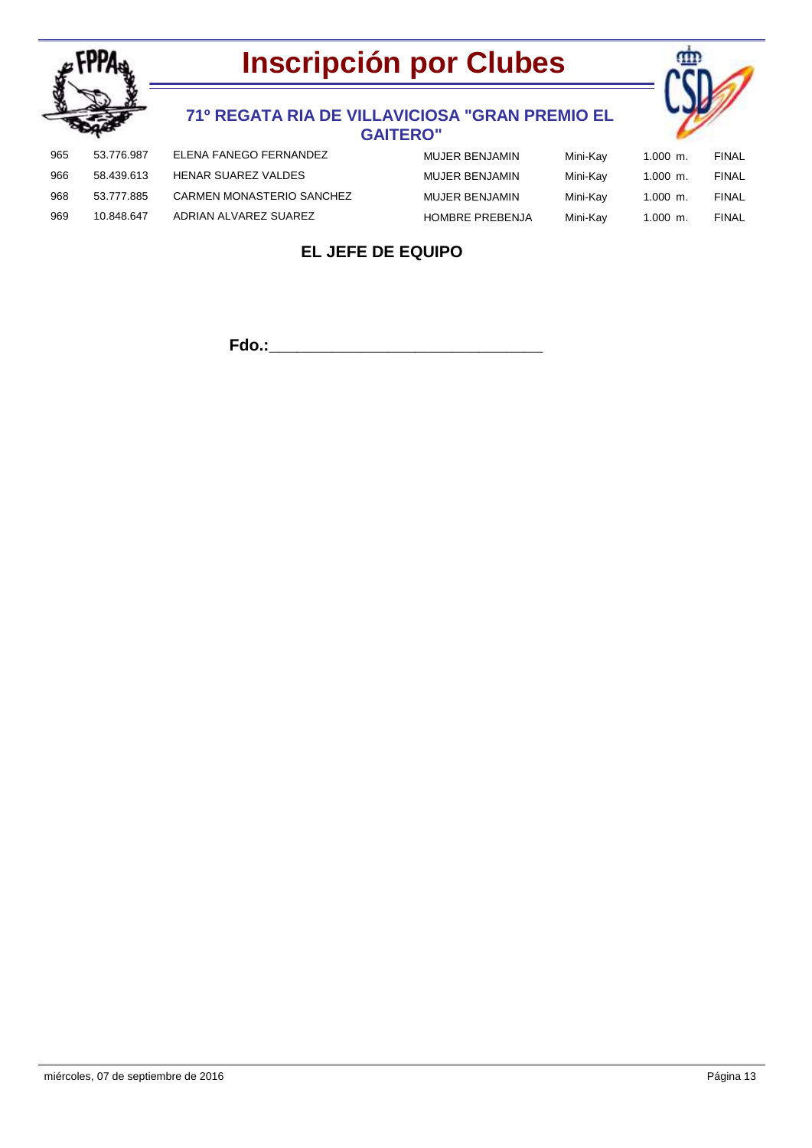



### **71º REGATA RIA DE VILLAVICIOSA "GRAN PREMIO EL GAITERO"**

| 965 | 53.776.987 | ELENA FANEGO FERNANDEZ     | MUJER BENJAMIN         | Mini-Kay | $1.000$ m. | FINAL        |
|-----|------------|----------------------------|------------------------|----------|------------|--------------|
| 966 | 58.439.613 | <b>HENAR SUAREZ VALDES</b> | MUJER BENJAMIN         | Mini-Kay | $1.000$ m. | FINAL        |
| 968 | 53.777.885 | CARMEN MONASTERIO SANCHEZ  | MUJER BENJAMIN         | Mini-Kav | $1.000$ m. | <b>FINAL</b> |
| 969 | 10.848.647 | ADRIAN ALVAREZ SUAREZ      | <b>HOMBRE PREBENJA</b> | Mini-Kav | $1.000$ m. | <b>FINAL</b> |

## **EL JEFE DE EQUIPO**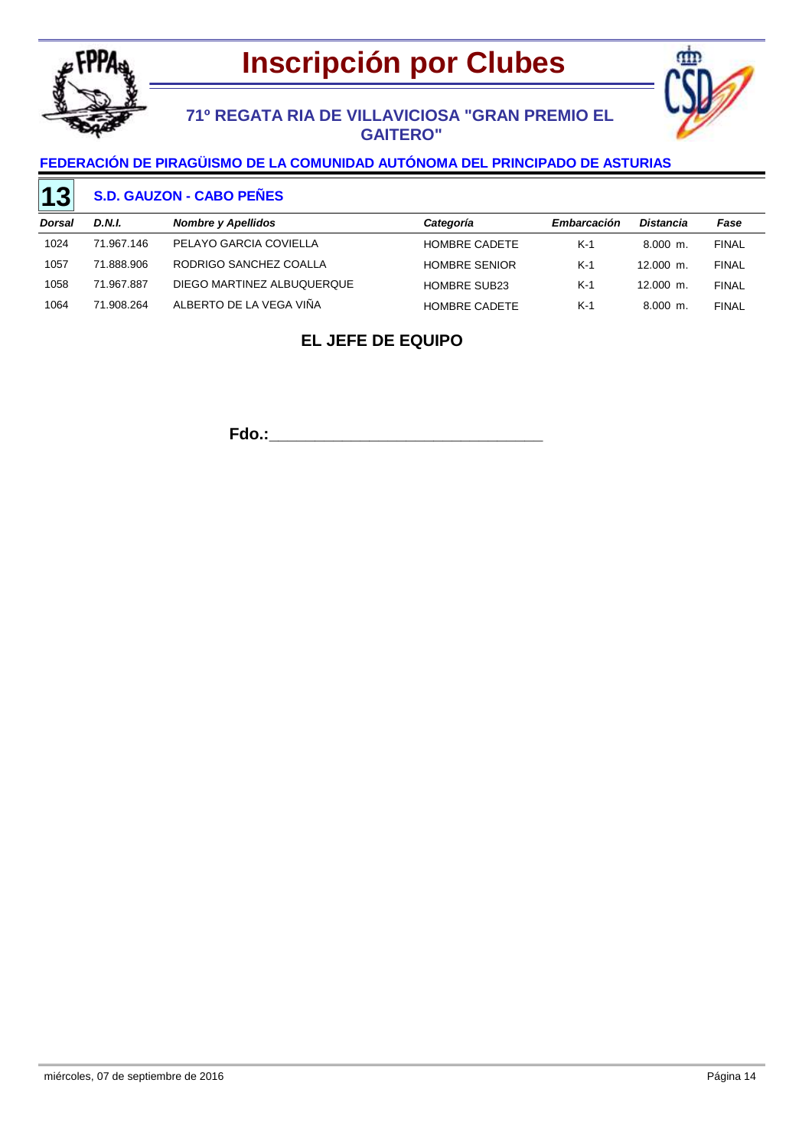



## **71º REGATA RIA DE VILLAVICIOSA "GRAN PREMIO EL GAITERO"**

### **FEDERACIÓN DE PIRAGÜISMO DE LA COMUNIDAD AUTÓNOMA DEL PRINCIPADO DE ASTURIAS**

#### **S.D. GAUZON - CABO PEÑES 13**

| Dorsal | D.N.I.     | <b>Nombre y Apellidos</b>  | Categoría            | Embarcación | <b>Distancia</b> | Fase         |
|--------|------------|----------------------------|----------------------|-------------|------------------|--------------|
| 1024   | 71.967.146 | PELAYO GARCIA COVIELLA     | <b>HOMBRE CADETE</b> | $K-1$       | $8.000$ m.       | <b>FINAL</b> |
| 1057   | 71.888.906 | RODRIGO SANCHEZ COALLA     | <b>HOMBRE SENIOR</b> | $K-1$       | $12.000$ m.      | <b>FINAL</b> |
| 1058   | 71.967.887 | DIEGO MARTINEZ ALBUQUERQUE | <b>HOMBRE SUB23</b>  | $K-1$       | $12.000$ m.      | <b>FINAL</b> |
| 1064   | 71.908.264 | ALBERTO DE LA VEGA VIÑA    | <b>HOMBRE CADETE</b> | $K-1$       | $8.000$ m.       | <b>FINAL</b> |

## **EL JEFE DE EQUIPO**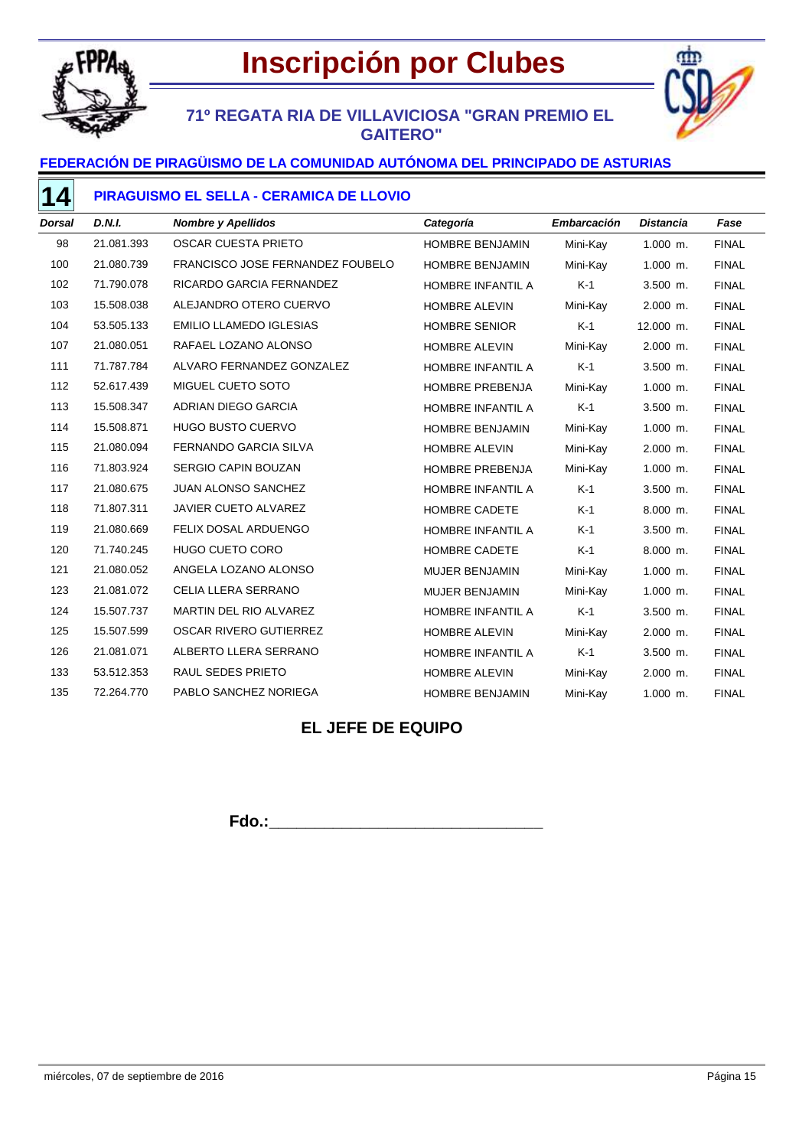

# **Inscripción por Clubes**

## **71º REGATA RIA DE VILLAVICIOSA "GRAN PREMIO EL GAITERO"**



### **PIRAGUISMO EL SELLA - CERAMICA DE LLOVIO**

| Dorsal | <b>D.N.I.</b> | <b>Nombre y Apellidos</b>        | Categoría              | <b>Embarcación</b> | <b>Distancia</b> | Fase         |
|--------|---------------|----------------------------------|------------------------|--------------------|------------------|--------------|
| 98     | 21.081.393    | OSCAR CUESTA PRIETO              | HOMBRE BENJAMIN        | Mini-Kay           | $1.000$ m.       | <b>FINAL</b> |
| 100    | 21.080.739    | FRANCISCO JOSE FERNANDEZ FOUBELO | <b>HOMBRE BENJAMIN</b> | Mini-Kay           | $1.000$ m.       | <b>FINAL</b> |
| 102    | 71.790.078    | RICARDO GARCIA FERNANDEZ         | HOMBRE INFANTIL A      | $K-1$              | 3.500 m.         | <b>FINAL</b> |
| 103    | 15.508.038    | ALEJANDRO OTERO CUERVO           | <b>HOMBRE ALEVIN</b>   | Mini-Kay           | 2.000 m.         | <b>FINAL</b> |
| 104    | 53.505.133    | <b>EMILIO LLAMEDO IGLESIAS</b>   | <b>HOMBRE SENIOR</b>   | $K-1$              | 12.000 m.        | <b>FINAL</b> |
| 107    | 21.080.051    | RAFAEL LOZANO ALONSO             | <b>HOMBRE ALEVIN</b>   | Mini-Kay           | $2.000$ m.       | <b>FINAL</b> |
| 111    | 71.787.784    | ALVARO FERNANDEZ GONZALEZ        | HOMBRE INFANTIL A      | $K-1$              | 3.500 m.         | <b>FINAL</b> |
| 112    | 52.617.439    | MIGUEL CUETO SOTO                | HOMBRE PREBENJA        | Mini-Kay           | $1.000$ m.       | <b>FINAL</b> |
| 113    | 15.508.347    | ADRIAN DIEGO GARCIA              | HOMBRE INFANTIL A      | $K-1$              | 3.500 m.         | <b>FINAL</b> |
| 114    | 15.508.871    | <b>HUGO BUSTO CUERVO</b>         | <b>HOMBRE BENJAMIN</b> | Mini-Kay           | $1.000$ m.       | <b>FINAL</b> |
| 115    | 21.080.094    | <b>FERNANDO GARCIA SILVA</b>     | <b>HOMBRE ALEVIN</b>   | Mini-Kay           | 2.000 m.         | <b>FINAL</b> |
| 116    | 71.803.924    | <b>SERGIO CAPIN BOUZAN</b>       | HOMBRE PREBENJA        | Mini-Kay           | $1.000$ m.       | <b>FINAL</b> |
| 117    | 21.080.675    | <b>JUAN ALONSO SANCHEZ</b>       | HOMBRE INFANTIL A      | $K-1$              | 3.500 m.         | <b>FINAL</b> |
| 118    | 71.807.311    | JAVIER CUETO ALVAREZ             | HOMBRE CADETE          | $K-1$              | 8.000 m.         | <b>FINAL</b> |
| 119    | 21.080.669    | <b>FELIX DOSAL ARDUENGO</b>      | HOMBRE INFANTIL A      | $K-1$              | 3.500 m.         | <b>FINAL</b> |
| 120    | 71.740.245    | <b>HUGO CUETO CORO</b>           | HOMBRE CADETE          | $K-1$              | 8.000 m.         | <b>FINAL</b> |
| 121    | 21.080.052    | ANGELA LOZANO ALONSO             | <b>MUJER BENJAMIN</b>  | Mini-Kay           | $1.000$ m.       | <b>FINAL</b> |
| 123    | 21.081.072    | CELIA LLERA SERRANO              | MUJER BENJAMIN         | Mini-Kay           | $1.000$ m.       | <b>FINAL</b> |
| 124    | 15.507.737    | MARTIN DEL RIO ALVAREZ           | HOMBRE INFANTIL A      | $K-1$              | 3.500 m.         | <b>FINAL</b> |
| 125    | 15.507.599    | <b>OSCAR RIVERO GUTIERREZ</b>    | <b>HOMBRE ALEVIN</b>   | Mini-Kay           | 2.000 m.         | <b>FINAL</b> |
| 126    | 21.081.071    | ALBERTO LLERA SERRANO            | HOMBRE INFANTIL A      | $K-1$              | 3.500 m.         | <b>FINAL</b> |
| 133    | 53.512.353    | <b>RAUL SEDES PRIETO</b>         | <b>HOMBRE ALEVIN</b>   | Mini-Kay           | 2.000 m.         | <b>FINAL</b> |
| 135    | 72.264.770    | PABLO SANCHEZ NORIEGA            | HOMBRE BENJAMIN        | Mini-Kay           | 1.000 m.         | <b>FINAL</b> |

## **EL JEFE DE EQUIPO**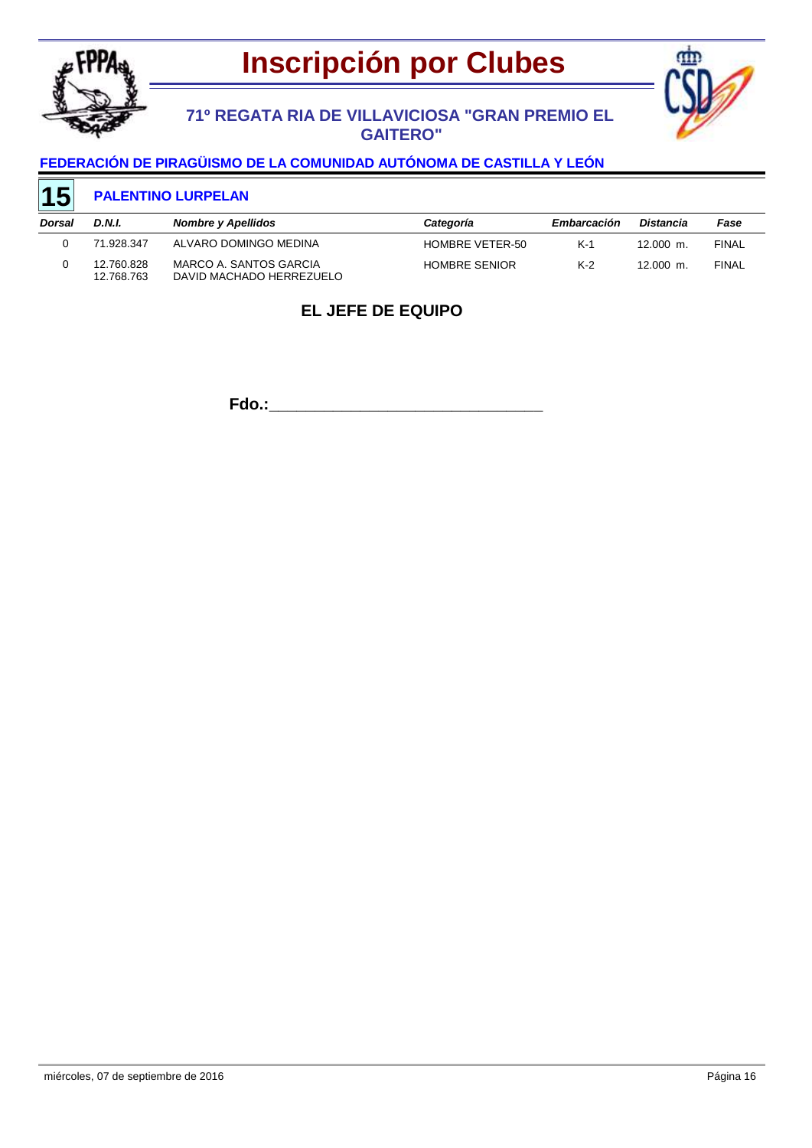



## **71º REGATA RIA DE VILLAVICIOSA "GRAN PREMIO EL GAITERO"**

### **FEDERACIÓN DE PIRAGÜISMO DE LA COMUNIDAD AUTÓNOMA DE CASTILLA Y LEÓN**

#### **PALENTINO LURPELAN 15**

| Dorsal | D.N.I.                   | <b>Nombre y Apellidos</b>                          | Categoría            | Embarcación | Distancia   | Fase         |
|--------|--------------------------|----------------------------------------------------|----------------------|-------------|-------------|--------------|
|        | 71.928.347               | ALVARO DOMINGO MEDINA                              | HOMBRE VETER-50      | K-1         | $12.000$ m. | <b>FINAL</b> |
|        | 12.760.828<br>12.768.763 | MARCO A. SANTOS GARCIA<br>DAVID MACHADO HERREZUELO | <b>HOMBRE SENIOR</b> | $K-2$       | 12.000 m.   | <b>FINAL</b> |

## **EL JEFE DE EQUIPO**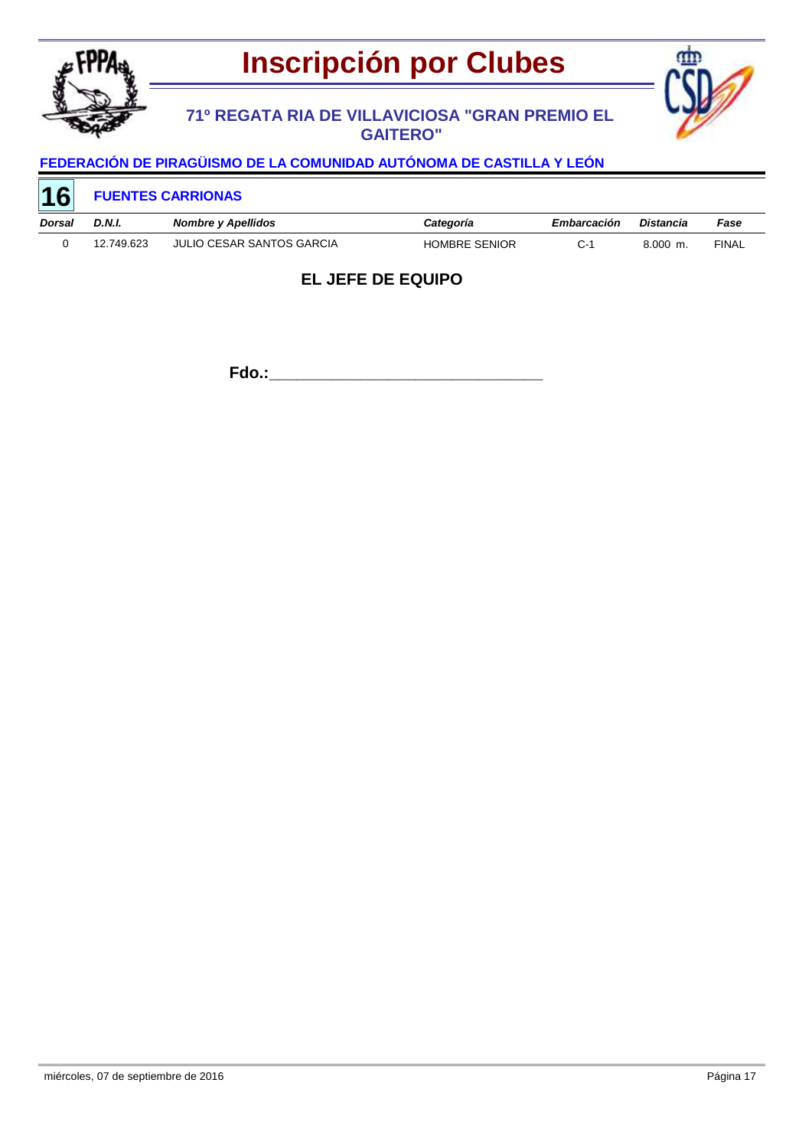

## **71º REGATA RIA DE VILLAVICIOSA "GRAN PREMIO EL GAITERO"**



# **FEDERACIÓN DE PIRAGÜISMO DE LA COMUNIDAD AUTÓNOMA DE CASTILLA Y LEÓN**

| <b>16</b>     |            | <b>FUENTES CARRIONAS</b>  |                      |             |            |              |
|---------------|------------|---------------------------|----------------------|-------------|------------|--------------|
| <b>Dorsal</b> | D.N.I.     | Nombre y Apellidos        | Categoría            | Embarcación | Distancia  | Fase         |
|               | 12.749.623 | JULIO CESAR SANTOS GARCIA | <b>HOMBRE SENIOR</b> | C-1         | $8.000$ m. | <b>FINAL</b> |

## **EL JEFE DE EQUIPO**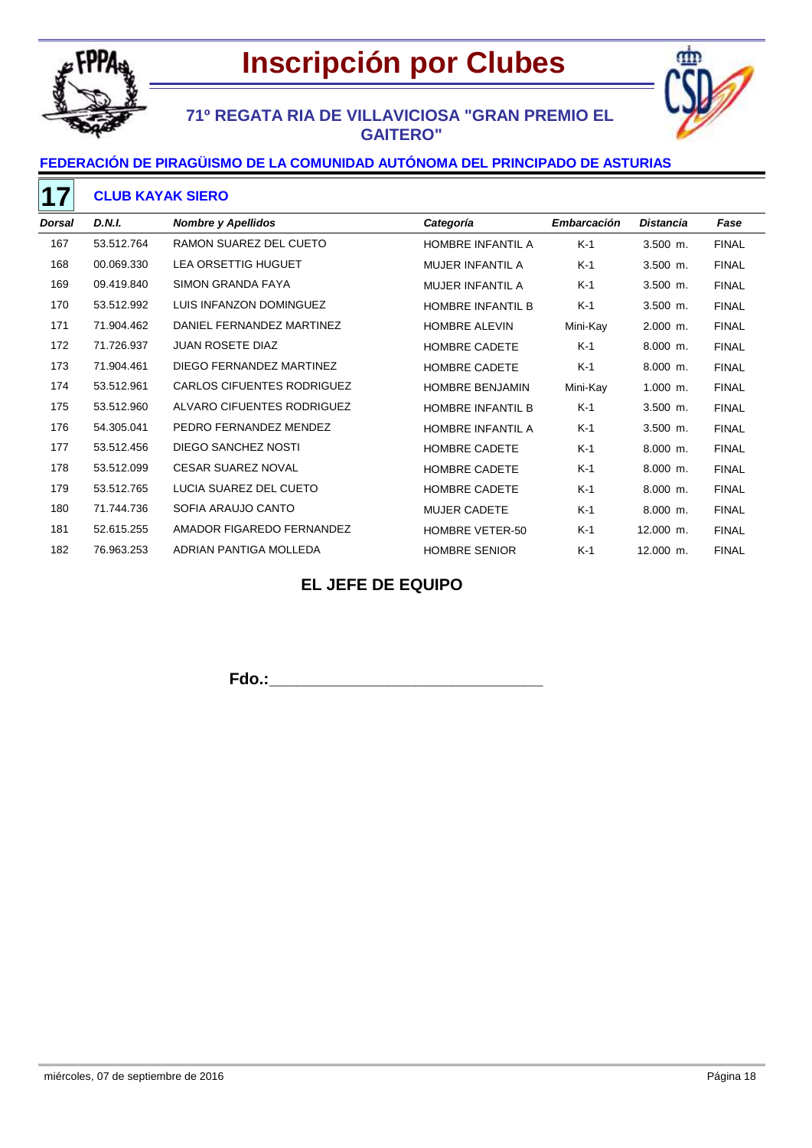



## **71º REGATA RIA DE VILLAVICIOSA "GRAN PREMIO EL GAITERO"**

### **FEDERACIÓN DE PIRAGÜISMO DE LA COMUNIDAD AUTÓNOMA DEL PRINCIPADO DE ASTURIAS**

#### **CLUB KAYAK SIERO**

| <b>Dorsal</b> | <b>D.N.I.</b> | <b>Nombre y Apellidos</b>         | Categoría                | Embarcación | <b>Distancia</b> | Fase         |
|---------------|---------------|-----------------------------------|--------------------------|-------------|------------------|--------------|
| 167           | 53.512.764    | RAMON SUAREZ DEL CUETO            | HOMBRE INFANTIL A        | $K-1$       | $3.500$ m.       | <b>FINAL</b> |
| 168           | 00.069.330    | <b>LEA ORSETTIG HUGUET</b>        | <b>MUJER INFANTIL A</b>  | $K-1$       | $3.500$ m.       | <b>FINAL</b> |
| 169           | 09.419.840    | SIMON GRANDA FAYA                 | <b>MUJER INFANTIL A</b>  | $K-1$       | $3.500$ m.       | <b>FINAL</b> |
| 170           | 53.512.992    | LUIS INFANZON DOMINGUEZ           | <b>HOMBRE INFANTIL B</b> | $K-1$       | $3.500$ m.       | <b>FINAL</b> |
| 171           | 71.904.462    | DANIEL FERNANDEZ MARTINEZ         | HOMBRE ALEVIN            | Mini-Kay    | $2.000$ m.       | <b>FINAL</b> |
| 172           | 71.726.937    | <b>JUAN ROSETE DIAZ</b>           | <b>HOMBRE CADETE</b>     | $K-1$       | $8.000$ m.       | <b>FINAL</b> |
| 173           | 71.904.461    | DIEGO FERNANDEZ MARTINEZ          | <b>HOMBRE CADETE</b>     | K-1         | $8.000$ m.       | <b>FINAL</b> |
| 174           | 53.512.961    | <b>CARLOS CIFUENTES RODRIGUEZ</b> | <b>HOMBRE BENJAMIN</b>   | Mini-Kay    | $1.000$ m.       | <b>FINAL</b> |
| 175           | 53.512.960    | ALVARO CIFUENTES RODRIGUEZ        | <b>HOMBRE INFANTIL B</b> | $K-1$       | $3.500$ m.       | <b>FINAL</b> |
| 176           | 54.305.041    | PEDRO FERNANDEZ MENDEZ            | HOMBRE INFANTIL A        | K-1         | $3.500$ m.       | <b>FINAL</b> |
| 177           | 53.512.456    | DIEGO SANCHEZ NOSTI               | <b>HOMBRE CADETE</b>     | $K-1$       | $8.000$ m.       | <b>FINAL</b> |
| 178           | 53.512.099    | <b>CESAR SUAREZ NOVAL</b>         | HOMBRE CADETE            | K-1         | $8.000$ m.       | <b>FINAL</b> |
| 179           | 53.512.765    | LUCIA SUAREZ DEL CUETO            | <b>HOMBRE CADETE</b>     | $K-1$       | 8.000 m.         | <b>FINAL</b> |
| 180           | 71.744.736    | SOFIA ARAUJO CANTO                | <b>MUJER CADETE</b>      | $K-1$       | $8.000$ m.       | <b>FINAL</b> |
| 181           | 52.615.255    | AMADOR FIGAREDO FERNANDEZ         | <b>HOMBRE VETER-50</b>   | $K-1$       | 12.000 m.        | <b>FINAL</b> |
| 182           | 76.963.253    | ADRIAN PANTIGA MOLLEDA            | <b>HOMBRE SENIOR</b>     | $K-1$       | 12.000 m.        | <b>FINAL</b> |

## **EL JEFE DE EQUIPO**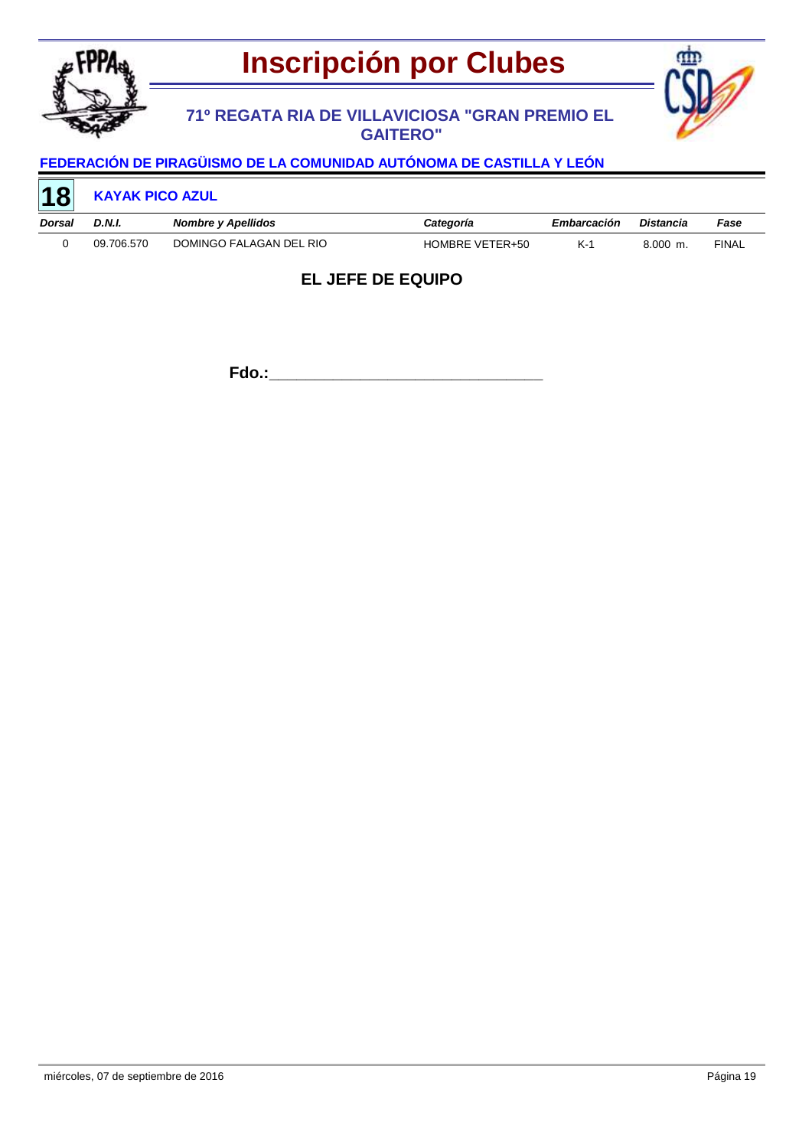

## **71º REGATA RIA DE VILLAVICIOSA "GRAN PREMIO EL GAITERO"**



# **FEDERACIÓN DE PIRAGÜISMO DE LA COMUNIDAD AUTÓNOMA DE CASTILLA Y LEÓN**

| 18     | <b>KAYAK PICO AZUL</b> |                           |                 |             |            |              |
|--------|------------------------|---------------------------|-----------------|-------------|------------|--------------|
| Dorsal | D.N.I.                 | <b>Nombre y Apellidos</b> | Categoría       | Embarcación | Distancia  | Fase         |
|        | 09.706.570             | DOMINGO FALAGAN DEL RIO   | HOMBRE VETER+50 | $K-1$       | $8.000$ m. | <b>FINAL</b> |

## **EL JEFE DE EQUIPO**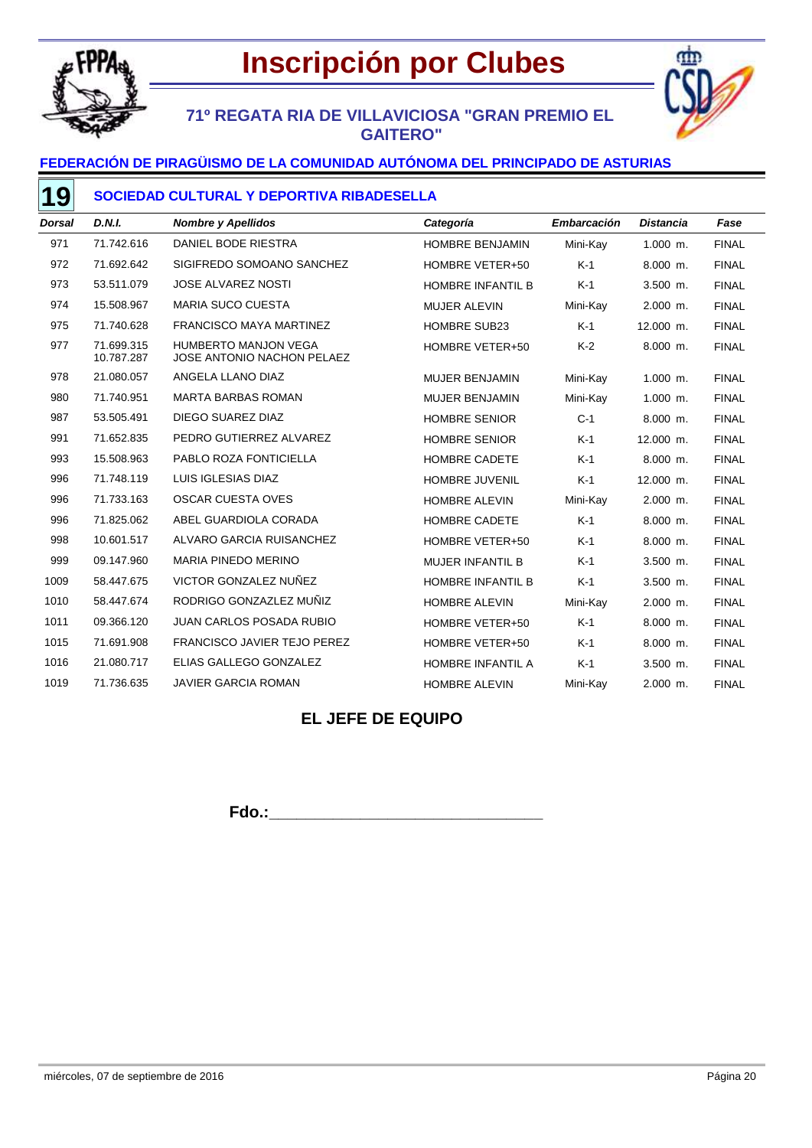

# **Inscripción por Clubes**

## **71º REGATA RIA DE VILLAVICIOSA "GRAN PREMIO EL GAITERO"**



## **FEDERACIÓN DE PIRAGÜISMO DE LA COMUNIDAD AUTÓNOMA DEL PRINCIPADO DE ASTURIAS**

### **SOCIEDAD CULTURAL Y DEPORTIVA RIBADESELLA**

| <b>Dorsal</b> | <b>D.N.I.</b>            | <b>Nombre y Apellidos</b>                                 | Categoría                | <b>Embarcación</b> | <b>Distancia</b> | Fase         |
|---------------|--------------------------|-----------------------------------------------------------|--------------------------|--------------------|------------------|--------------|
| 971           | 71.742.616               | DANIEL BODE RIESTRA                                       | <b>HOMBRE BENJAMIN</b>   | Mini-Kay           | $1.000$ m.       | <b>FINAL</b> |
| 972           | 71.692.642               | SIGIFREDO SOMOANO SANCHEZ                                 | HOMBRE VETER+50          | $K-1$              | $8.000$ m.       | <b>FINAL</b> |
| 973           | 53.511.079               | <b>JOSE ALVAREZ NOSTI</b>                                 | <b>HOMBRE INFANTIL B</b> | $K-1$              | $3.500$ m.       | <b>FINAL</b> |
| 974           | 15.508.967               | <b>MARIA SUCO CUESTA</b>                                  | <b>MUJER ALEVIN</b>      | Mini-Kay           | 2.000 m.         | <b>FINAL</b> |
| 975           | 71.740.628               | <b>FRANCISCO MAYA MARTINEZ</b>                            | <b>HOMBRE SUB23</b>      | $K-1$              | 12.000 m.        | <b>FINAL</b> |
| 977           | 71.699.315<br>10.787.287 | <b>HUMBERTO MANJON VEGA</b><br>JOSE ANTONIO NACHON PELAEZ | HOMBRE VETER+50          | $K-2$              | $8.000$ m.       | <b>FINAL</b> |
| 978           | 21.080.057               | ANGELA LLANO DIAZ                                         | <b>MUJER BENJAMIN</b>    | Mini-Kay           | $1.000$ m.       | <b>FINAL</b> |
| 980           | 71.740.951               | <b>MARTA BARBAS ROMAN</b>                                 | <b>MUJER BENJAMIN</b>    | Mini-Kay           | $1.000$ m.       | <b>FINAL</b> |
| 987           | 53.505.491               | DIEGO SUAREZ DIAZ                                         | <b>HOMBRE SENIOR</b>     | $C-1$              | $8.000$ m.       | <b>FINAL</b> |
| 991           | 71.652.835               | PEDRO GUTIERREZ ALVAREZ                                   | <b>HOMBRE SENIOR</b>     | $K-1$              | 12.000 m.        | <b>FINAL</b> |
| 993           | 15.508.963               | PABLO ROZA FONTICIELLA                                    | <b>HOMBRE CADETE</b>     | $K-1$              | $8.000$ m.       | <b>FINAL</b> |
| 996           | 71.748.119               | LUIS IGLESIAS DIAZ                                        | <b>HOMBRE JUVENIL</b>    | $K-1$              | 12.000 m.        | <b>FINAL</b> |
| 996           | 71.733.163               | <b>OSCAR CUESTA OVES</b>                                  | <b>HOMBRE ALEVIN</b>     | Mini-Kay           | 2.000 m.         | <b>FINAL</b> |
| 996           | 71.825.062               | ABEL GUARDIOLA CORADA                                     | HOMBRE CADETE            | $K-1$              | 8.000 m.         | <b>FINAL</b> |
| 998           | 10.601.517               | ALVARO GARCIA RUISANCHEZ                                  | HOMBRE VETER+50          | $K-1$              | $8.000$ m.       | <b>FINAL</b> |
| 999           | 09.147.960               | <b>MARIA PINEDO MERINO</b>                                | <b>MUJER INFANTIL B</b>  | $K-1$              | $3.500$ m.       | <b>FINAL</b> |
| 1009          | 58.447.675               | VICTOR GONZALEZ NUÑEZ                                     | <b>HOMBRE INFANTIL B</b> | $K-1$              | 3.500 m.         | <b>FINAL</b> |
| 1010          | 58.447.674               | RODRIGO GONZAZLEZ MUÑIZ                                   | <b>HOMBRE ALEVIN</b>     | Mini-Kay           | 2.000 m.         | <b>FINAL</b> |
| 1011          | 09.366.120               | <b>JUAN CARLOS POSADA RUBIO</b>                           | HOMBRE VETER+50          | $K-1$              | $8.000$ m.       | <b>FINAL</b> |
| 1015          | 71.691.908               | <b>FRANCISCO JAVIER TEJO PEREZ</b>                        | HOMBRE VETER+50          | $K-1$              | $8.000$ m.       | <b>FINAL</b> |
| 1016          | 21.080.717               | ELIAS GALLEGO GONZALEZ                                    | HOMBRE INFANTIL A        | $K-1$              | 3.500 m.         | <b>FINAL</b> |
| 1019          | 71.736.635               | <b>JAVIER GARCIA ROMAN</b>                                | <b>HOMBRE ALEVIN</b>     | Mini-Kay           | 2.000 m.         | <b>FINAL</b> |

### **EL JEFE DE EQUIPO**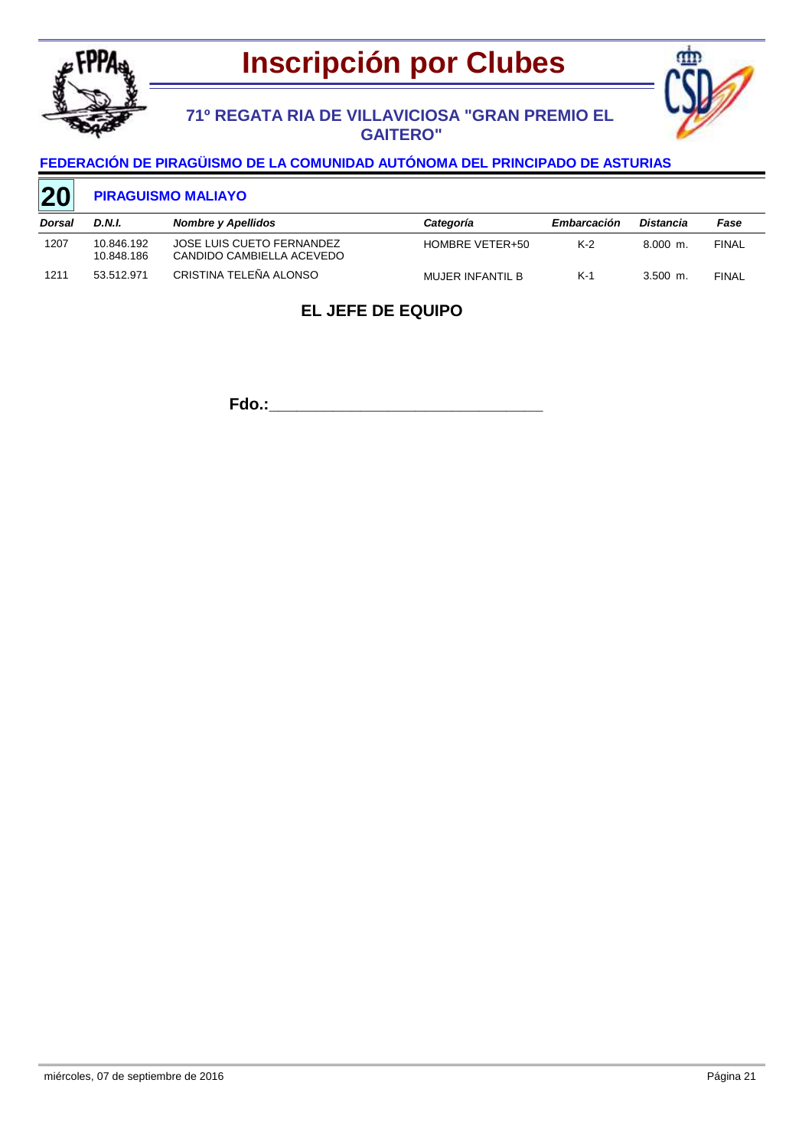



### **71º REGATA RIA DE VILLAVICIOSA "GRAN PREMIO EL GAITERO"**

### **FEDERACIÓN DE PIRAGÜISMO DE LA COMUNIDAD AUTÓNOMA DEL PRINCIPADO DE ASTURIAS**

#### **PIRAGUISMO MALIAYO 20**

| Dorsal | D.N.I.                   | Nombre y Apellidos                                     | Categoría        | Embarcación | Distancia  | Fase         |
|--------|--------------------------|--------------------------------------------------------|------------------|-------------|------------|--------------|
| 1207   | 10.846.192<br>10.848.186 | JOSE LUIS CUETO FERNANDEZ<br>CANDIDO CAMBIELLA ACEVEDO | HOMBRE VETER+50  | $K-2$       | $8.000$ m. | <b>FINAL</b> |
| 1211   | 53.512.971               | CRISTINA TELEÑA ALONSO                                 | MUJER INFANTIL B | $K-1$       | $3.500$ m. | <b>FINAL</b> |

## **EL JEFE DE EQUIPO**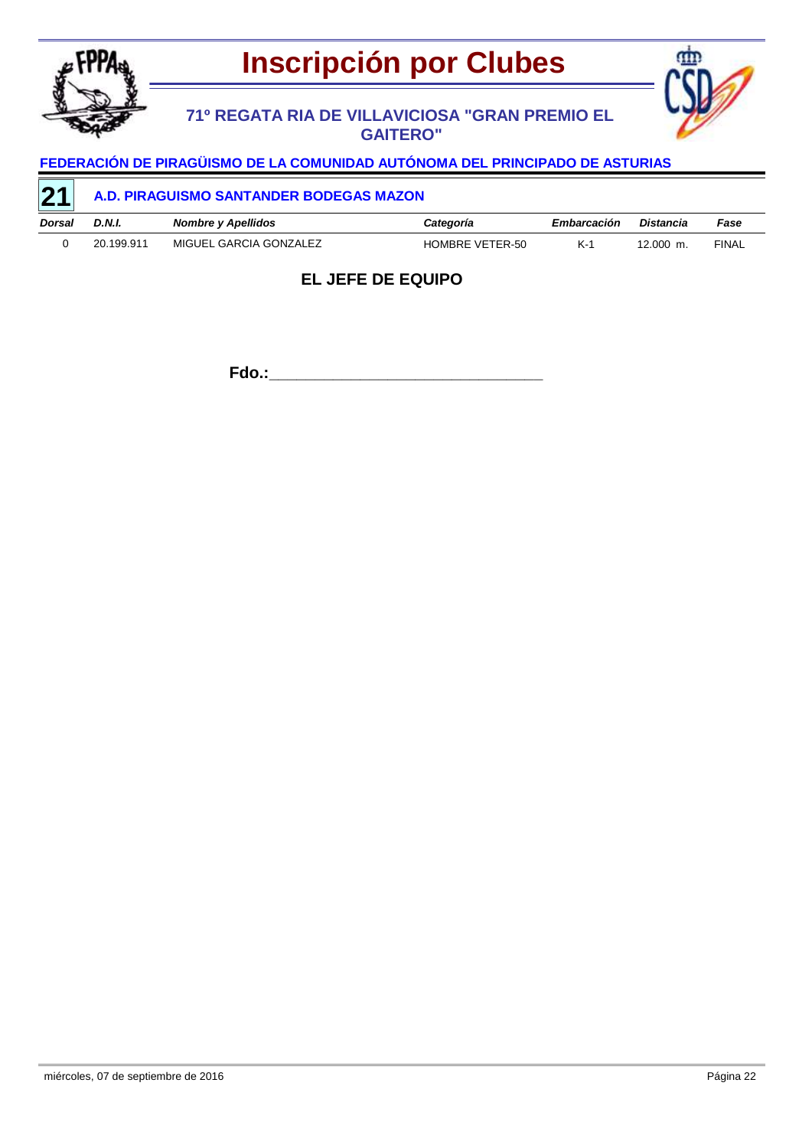

## **71º REGATA RIA DE VILLAVICIOSA "GRAN PREMIO EL GAITERO"**



# **FEDERACIÓN DE PIRAGÜISMO DE LA COMUNIDAD AUTÓNOMA DEL PRINCIPADO DE ASTURIAS**

| $\sqrt{21}$ | A.D. PIRAGUISMO SANTANDER BODEGAS MAZON |                        |                 |             |           |       |  |  |
|-------------|-----------------------------------------|------------------------|-----------------|-------------|-----------|-------|--|--|
| Dorsal      | D.N.I.                                  | Nombre y Apellidos     | Categoría       | Embarcación | Distancia | Fase  |  |  |
|             | 20.199.911                              | MIGUEL GARCIA GONZALEZ | HOMBRE VETER-50 | $K-1$       | 12.000 m. | FINAL |  |  |

## **EL JEFE DE EQUIPO**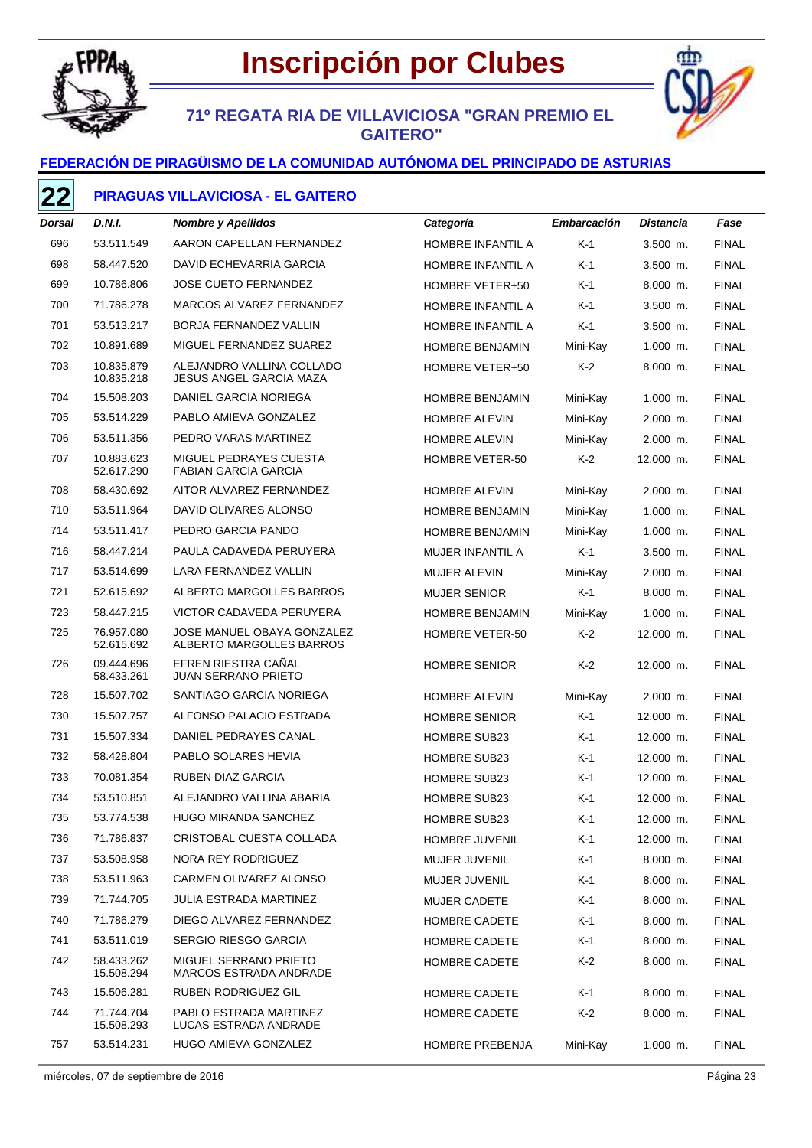



## **71º REGATA RIA DE VILLAVICIOSA "GRAN PREMIO EL GAITERO"**

### **FEDERACIÓN DE PIRAGÜISMO DE LA COMUNIDAD AUTÓNOMA DEL PRINCIPADO DE ASTURIAS**

### **PIRAGUAS VILLAVICIOSA - EL GAITERO**

| Dorsal | D.N.I.                   | <b>Nombre y Apellidos</b>                                   | Categoría               | <b>Embarcación</b> | Distancia  | Fase         |
|--------|--------------------------|-------------------------------------------------------------|-------------------------|--------------------|------------|--------------|
| 696    | 53.511.549               | AARON CAPELLAN FERNANDEZ                                    | HOMBRE INFANTIL A       | $K-1$              | $3.500$ m. | <b>FINAL</b> |
| 698    | 58.447.520               | DAVID ECHEVARRIA GARCIA                                     | HOMBRE INFANTIL A       | K-1                | $3.500$ m. | <b>FINAL</b> |
| 699    | 10.786.806               | <b>JOSE CUETO FERNANDEZ</b>                                 | HOMBRE VETER+50         | K-1                | 8.000 m.   | <b>FINAL</b> |
| 700    | 71.786.278               | MARCOS ALVAREZ FERNANDEZ                                    | HOMBRE INFANTIL A       | K-1                | $3.500$ m. | <b>FINAL</b> |
| 701    | 53.513.217               | BORJA FERNANDEZ VALLIN                                      | HOMBRE INFANTIL A       | K-1                | $3.500$ m. | <b>FINAL</b> |
| 702    | 10.891.689               | MIGUEL FERNANDEZ SUAREZ                                     | <b>HOMBRE BENJAMIN</b>  | Mini-Kay           | $1.000$ m. | <b>FINAL</b> |
| 703    | 10.835.879<br>10.835.218 | ALEJANDRO VALLINA COLLADO<br><b>JESUS ANGEL GARCIA MAZA</b> | HOMBRE VETER+50         | $K-2$              | 8.000 m.   | <b>FINAL</b> |
| 704    | 15.508.203               | DANIEL GARCIA NORIEGA                                       | <b>HOMBRE BENJAMIN</b>  | Mini-Kay           | $1.000$ m. | <b>FINAL</b> |
| 705    | 53.514.229               | PABLO AMIEVA GONZALEZ                                       | <b>HOMBRE ALEVIN</b>    | Mini-Kay           | 2.000 m.   | <b>FINAL</b> |
| 706    | 53.511.356               | PEDRO VARAS MARTINEZ                                        | <b>HOMBRE ALEVIN</b>    | Mini-Kay           | $2.000$ m. | <b>FINAL</b> |
| 707    | 10.883.623<br>52.617.290 | MIGUEL PEDRAYES CUESTA<br><b>FABIAN GARCIA GARCIA</b>       | <b>HOMBRE VETER-50</b>  | K-2                | 12.000 m.  | <b>FINAL</b> |
| 708    | 58.430.692               | AITOR ALVAREZ FERNANDEZ                                     | <b>HOMBRE ALEVIN</b>    | Mini-Kay           | $2.000$ m. | <b>FINAL</b> |
| 710    | 53.511.964               | DAVID OLIVARES ALONSO                                       | <b>HOMBRE BENJAMIN</b>  | Mini-Kay           | $1.000$ m. | <b>FINAL</b> |
| 714    | 53.511.417               | PEDRO GARCIA PANDO                                          | <b>HOMBRE BENJAMIN</b>  | Mini-Kay           | $1.000$ m. | <b>FINAL</b> |
| 716    | 58.447.214               | PAULA CADAVEDA PERUYERA                                     | <b>MUJER INFANTIL A</b> | $K-1$              | $3.500$ m. | <b>FINAL</b> |
| 717    | 53.514.699               | LARA FERNANDEZ VALLIN                                       | <b>MUJER ALEVIN</b>     | Mini-Kay           | $2.000$ m. | <b>FINAL</b> |
| 721    | 52.615.692               | ALBERTO MARGOLLES BARROS                                    | <b>MUJER SENIOR</b>     | $K-1$              | 8.000 m.   | <b>FINAL</b> |
| 723    | 58.447.215               | VICTOR CADAVEDA PERUYERA                                    | <b>HOMBRE BENJAMIN</b>  | Mini-Kay           | $1.000$ m. | <b>FINAL</b> |
| 725    | 76.957.080<br>52.615.692 | JOSE MANUEL OBAYA GONZALEZ<br>ALBERTO MARGOLLES BARROS      | HOMBRE VETER-50         | K-2                | 12.000 m.  | <b>FINAL</b> |
| 726    | 09.444.696<br>58.433.261 | EFREN RIESTRA CAÑAL<br><b>JUAN SERRANO PRIETO</b>           | <b>HOMBRE SENIOR</b>    | K-2                | 12.000 m.  | <b>FINAL</b> |
| 728    | 15.507.702               | SANTIAGO GARCIA NORIEGA                                     | <b>HOMBRE ALEVIN</b>    | Mini-Kay           | 2.000 m.   | <b>FINAL</b> |
| 730    | 15.507.757               | ALFONSO PALACIO ESTRADA                                     | <b>HOMBRE SENIOR</b>    | K-1                | 12.000 m.  | <b>FINAL</b> |
| 731    | 15.507.334               | DANIEL PEDRAYES CANAL                                       | <b>HOMBRE SUB23</b>     | K-1                | 12.000 m.  | <b>FINAL</b> |
| 732    | 58.428.804               | PABLO SOLARES HEVIA                                         | <b>HOMBRE SUB23</b>     | K-1                | 12.000 m.  | <b>FINAL</b> |
| 733    | 70.081.354               | <b>RUBEN DIAZ GARCIA</b>                                    | <b>HOMBRE SUB23</b>     | K-1                | 12.000 m.  | <b>FINAL</b> |
| 734    | 53.510.851               | ALEJANDRO VALLINA ABARIA                                    | <b>HOMBRE SUB23</b>     | K-1                | 12.000 m.  | <b>FINAL</b> |
| 735    | 53.774.538               | HUGO MIRANDA SANCHEZ                                        | <b>HOMBRE SUB23</b>     | K-1                | 12.000 m.  | <b>FINAL</b> |
| 736    | 71.786.837               | CRISTOBAL CUESTA COLLADA                                    | HOMBRE JUVENIL          | $K-1$              | 12.000 m.  | <b>FINAL</b> |
| 737    | 53.508.958               | NORA REY RODRIGUEZ                                          | <b>MUJER JUVENIL</b>    | $K-1$              | $8.000$ m. | <b>FINAL</b> |
| 738    | 53.511.963               | CARMEN OLIVAREZ ALONSO                                      | MUJER JUVENIL           | $K-1$              | $8.000$ m. | <b>FINAL</b> |
| 739    | 71.744.705               | <b>JULIA ESTRADA MARTINEZ</b>                               | <b>MUJER CADETE</b>     | $K-1$              | $8.000$ m. | <b>FINAL</b> |
| 740    | 71.786.279               | DIEGO ALVAREZ FERNANDEZ                                     | HOMBRE CADETE           | $K-1$              | 8.000 m.   | <b>FINAL</b> |
| 741    | 53.511.019               | <b>SERGIO RIESGO GARCIA</b>                                 | HOMBRE CADETE           | $K-1$              | $8.000$ m. | <b>FINAL</b> |
| 742    | 58.433.262<br>15.508.294 | MIGUEL SERRANO PRIETO<br>MARCOS ESTRADA ANDRADE             | HOMBRE CADETE           | K-2                | $8.000$ m. | <b>FINAL</b> |
| 743    | 15.506.281               | RUBEN RODRIGUEZ GIL                                         | HOMBRE CADETE           | $K-1$              | 8.000 m.   | <b>FINAL</b> |
| 744    | 71.744.704<br>15.508.293 | PABLO ESTRADA MARTINEZ<br>LUCAS ESTRADA ANDRADE             | <b>HOMBRE CADETE</b>    | $K-2$              | 8.000 m.   | <b>FINAL</b> |
| 757    | 53.514.231               | HUGO AMIEVA GONZALEZ                                        | HOMBRE PREBENJA         | Mini-Kay           | $1.000$ m. | <b>FINAL</b> |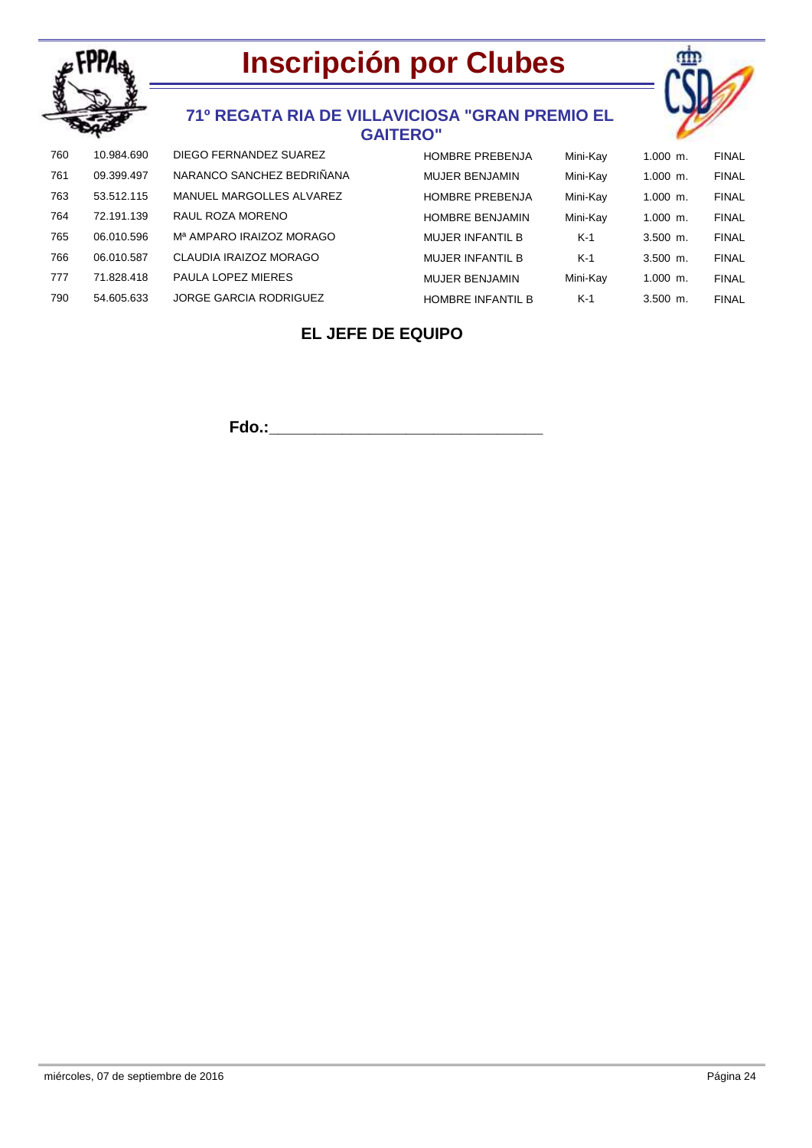



### **71º REGATA RIA DE VILLAVICIOSA "GRAN PREMIO EL GAITERO"**

| 760 | 10.984.690 | DIEGO FERNANDEZ SUAREZ               | <b>HOMBRE PREBENJA</b>   | Mini-Kay | $1.000$ m. | <b>FINAL</b> |
|-----|------------|--------------------------------------|--------------------------|----------|------------|--------------|
| 761 | 09.399.497 | NARANCO SANCHEZ BEDRIÑANA            | <b>MUJER BENJAMIN</b>    | Mini-Kay | $1.000$ m. | <b>FINAL</b> |
| 763 | 53.512.115 | MANUEL MARGOLLES ALVAREZ             | <b>HOMBRE PREBENJA</b>   | Mini-Kay | $1.000$ m. | <b>FINAL</b> |
| 764 | 72.191.139 | RAUL ROZA MORENO                     | <b>HOMBRE BENJAMIN</b>   | Mini-Kay | $1.000$ m. | <b>FINAL</b> |
| 765 | 06.010.596 | M <sup>a</sup> AMPARO IRAIZOZ MORAGO | <b>MUJER INFANTIL B</b>  | $K-1$    | $3.500$ m. | <b>FINAL</b> |
| 766 | 06.010.587 | CLAUDIA IRAIZOZ MORAGO               | MUJER INFANTIL B         | $K-1$    | $3.500$ m. | <b>FINAL</b> |
| 777 | 71.828.418 | PAULA LOPEZ MIERES                   | <b>MUJER BENJAMIN</b>    | Mini-Kay | $1.000$ m. | <b>FINAL</b> |
| 790 | 54.605.633 | <b>JORGE GARCIA RODRIGUEZ</b>        | <b>HOMBRE INFANTIL B</b> | $K-1$    | $3.500$ m. | <b>FINAL</b> |

## **EL JEFE DE EQUIPO**